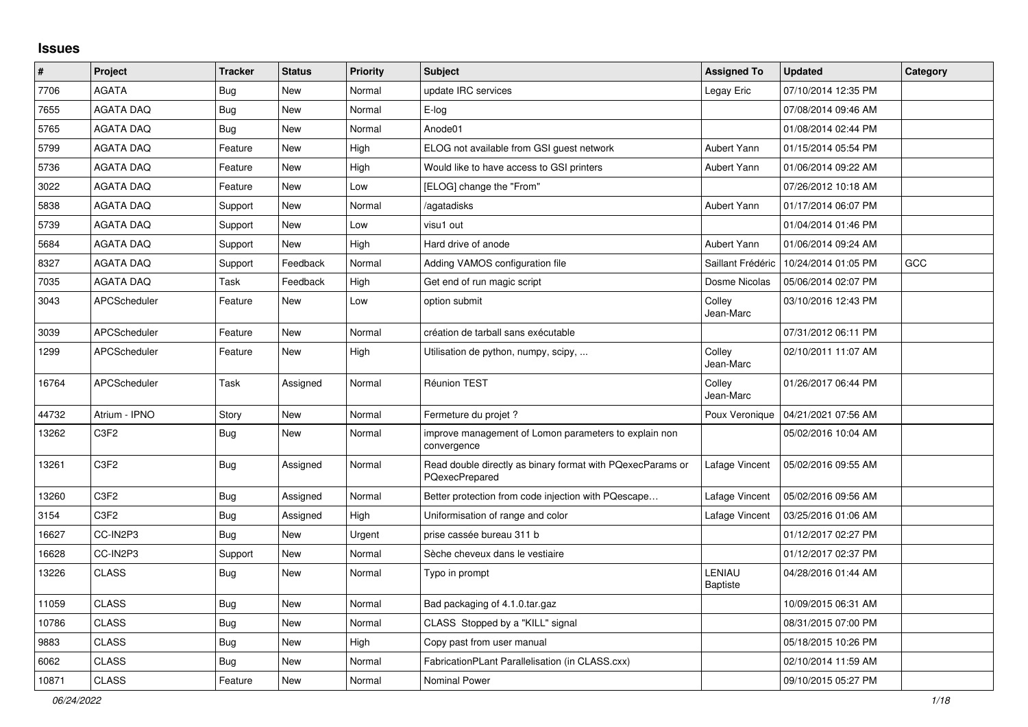## **Issues**

| #     | Project                       | <b>Tracker</b> | <b>Status</b> | <b>Priority</b> | <b>Subject</b>                                                               | <b>Assigned To</b>        | <b>Updated</b>      | Category |
|-------|-------------------------------|----------------|---------------|-----------------|------------------------------------------------------------------------------|---------------------------|---------------------|----------|
| 7706  | <b>AGATA</b>                  | Bug            | New           | Normal          | update IRC services                                                          | Legay Eric                | 07/10/2014 12:35 PM |          |
| 7655  | <b>AGATA DAQ</b>              | Bug            | <b>New</b>    | Normal          | E-log                                                                        |                           | 07/08/2014 09:46 AM |          |
| 5765  | <b>AGATA DAQ</b>              | <b>Bug</b>     | New           | Normal          | Anode01                                                                      |                           | 01/08/2014 02:44 PM |          |
| 5799  | <b>AGATA DAQ</b>              | Feature        | New           | High            | ELOG not available from GSI guest network                                    | Aubert Yann               | 01/15/2014 05:54 PM |          |
| 5736  | <b>AGATA DAQ</b>              | Feature        | New           | High            | Would like to have access to GSI printers                                    | Aubert Yann               | 01/06/2014 09:22 AM |          |
| 3022  | <b>AGATA DAQ</b>              | Feature        | <b>New</b>    | Low             | [ELOG] change the "From"                                                     |                           | 07/26/2012 10:18 AM |          |
| 5838  | <b>AGATA DAQ</b>              | Support        | New           | Normal          | /agatadisks                                                                  | Aubert Yann               | 01/17/2014 06:07 PM |          |
| 5739  | <b>AGATA DAQ</b>              | Support        | New           | Low             | visu1 out                                                                    |                           | 01/04/2014 01:46 PM |          |
| 5684  | <b>AGATA DAQ</b>              | Support        | <b>New</b>    | High            | Hard drive of anode                                                          | Aubert Yann               | 01/06/2014 09:24 AM |          |
| 8327  | <b>AGATA DAQ</b>              | Support        | Feedback      | Normal          | Adding VAMOS configuration file                                              | Saillant Frédéric         | 10/24/2014 01:05 PM | GCC      |
| 7035  | <b>AGATA DAQ</b>              | Task           | Feedback      | High            | Get end of run magic script                                                  | Dosme Nicolas             | 05/06/2014 02:07 PM |          |
| 3043  | APCScheduler                  | Feature        | <b>New</b>    | Low             | option submit                                                                | Colley<br>Jean-Marc       | 03/10/2016 12:43 PM |          |
| 3039  | APCScheduler                  | Feature        | New           | Normal          | création de tarball sans exécutable                                          |                           | 07/31/2012 06:11 PM |          |
| 1299  | APCScheduler                  | Feature        | New           | High            | Utilisation de python, numpy, scipy,                                         | Colley<br>Jean-Marc       | 02/10/2011 11:07 AM |          |
| 16764 | APCScheduler                  | Task           | Assigned      | Normal          | <b>Réunion TEST</b>                                                          | Colley<br>Jean-Marc       | 01/26/2017 06:44 PM |          |
| 44732 | Atrium - IPNO                 | Story          | <b>New</b>    | Normal          | Fermeture du projet ?                                                        | Poux Veronique            | 04/21/2021 07:56 AM |          |
| 13262 | C <sub>3</sub> F <sub>2</sub> | Bug            | New           | Normal          | improve management of Lomon parameters to explain non<br>convergence         |                           | 05/02/2016 10:04 AM |          |
| 13261 | C <sub>3F2</sub>              | Bug            | Assigned      | Normal          | Read double directly as binary format with PQexecParams or<br>PQexecPrepared | Lafage Vincent            | 05/02/2016 09:55 AM |          |
| 13260 | C <sub>3F2</sub>              | <b>Bug</b>     | Assigned      | Normal          | Better protection from code injection with PQescape                          | Lafage Vincent            | 05/02/2016 09:56 AM |          |
| 3154  | C <sub>3F2</sub>              | Bug            | Assigned      | High            | Uniformisation of range and color                                            | Lafage Vincent            | 03/25/2016 01:06 AM |          |
| 16627 | CC-IN2P3                      | Bug            | New           | Urgent          | prise cassée bureau 311 b                                                    |                           | 01/12/2017 02:27 PM |          |
| 16628 | CC-IN2P3                      | Support        | <b>New</b>    | Normal          | Sèche cheveux dans le vestiaire                                              |                           | 01/12/2017 02:37 PM |          |
| 13226 | <b>CLASS</b>                  | <b>Bug</b>     | <b>New</b>    | Normal          | Typo in prompt                                                               | LENIAU<br><b>Baptiste</b> | 04/28/2016 01:44 AM |          |
| 11059 | <b>CLASS</b>                  | <b>Bug</b>     | <b>New</b>    | Normal          | Bad packaging of 4.1.0.tar.gaz                                               |                           | 10/09/2015 06:31 AM |          |
| 10786 | <b>CLASS</b>                  | <b>Bug</b>     | <b>New</b>    | Normal          | CLASS Stopped by a "KILL" signal                                             |                           | 08/31/2015 07:00 PM |          |
| 9883  | <b>CLASS</b>                  | Bug            | New           | High            | Copy past from user manual                                                   |                           | 05/18/2015 10:26 PM |          |
| 6062  | <b>CLASS</b>                  | <b>Bug</b>     | New           | Normal          | FabricationPLant Parallelisation (in CLASS.cxx)                              |                           | 02/10/2014 11:59 AM |          |
| 10871 | <b>CLASS</b>                  | Feature        | <b>New</b>    | Normal          | <b>Nominal Power</b>                                                         |                           | 09/10/2015 05:27 PM |          |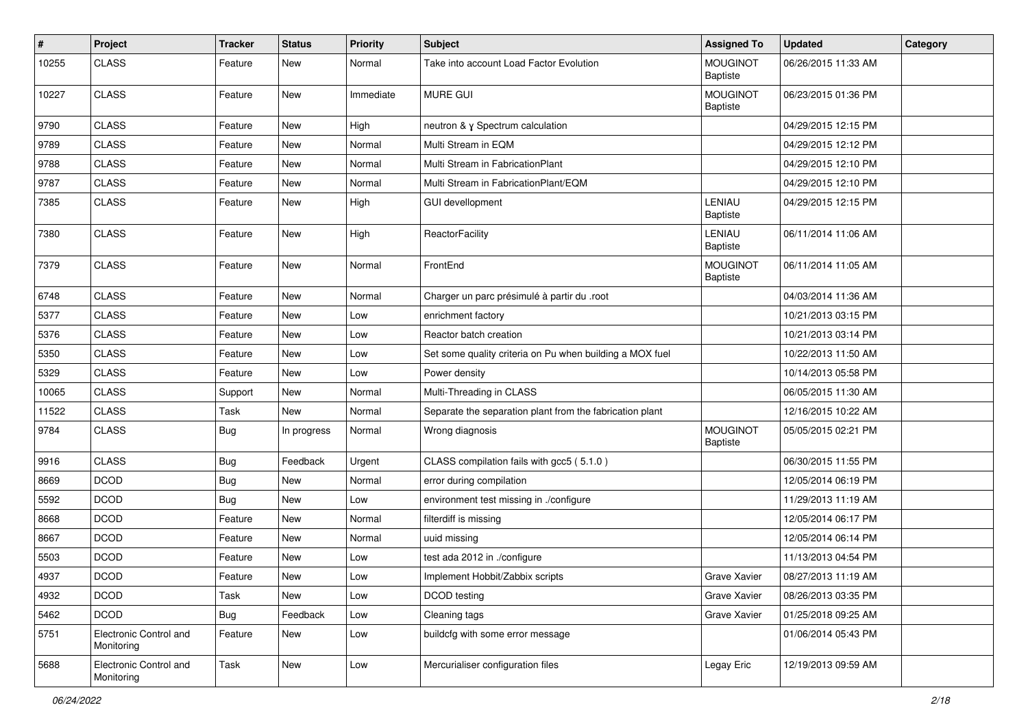| $\sharp$ | Project                              | <b>Tracker</b> | <b>Status</b> | <b>Priority</b> | <b>Subject</b>                                           | <b>Assigned To</b>                 | <b>Updated</b>      | Category |
|----------|--------------------------------------|----------------|---------------|-----------------|----------------------------------------------------------|------------------------------------|---------------------|----------|
| 10255    | <b>CLASS</b>                         | Feature        | New           | Normal          | Take into account Load Factor Evolution                  | <b>MOUGINOT</b><br>Baptiste        | 06/26/2015 11:33 AM |          |
| 10227    | <b>CLASS</b>                         | Feature        | <b>New</b>    | Immediate       | <b>MURE GUI</b>                                          | <b>MOUGINOT</b><br><b>Baptiste</b> | 06/23/2015 01:36 PM |          |
| 9790     | <b>CLASS</b>                         | Feature        | <b>New</b>    | High            | neutron & γ Spectrum calculation                         |                                    | 04/29/2015 12:15 PM |          |
| 9789     | <b>CLASS</b>                         | Feature        | New           | Normal          | Multi Stream in EQM                                      |                                    | 04/29/2015 12:12 PM |          |
| 9788     | <b>CLASS</b>                         | Feature        | <b>New</b>    | Normal          | Multi Stream in FabricationPlant                         |                                    | 04/29/2015 12:10 PM |          |
| 9787     | <b>CLASS</b>                         | Feature        | New           | Normal          | Multi Stream in FabricationPlant/EQM                     |                                    | 04/29/2015 12:10 PM |          |
| 7385     | <b>CLASS</b>                         | Feature        | New           | High            | <b>GUI devellopment</b>                                  | LENIAU<br><b>Baptiste</b>          | 04/29/2015 12:15 PM |          |
| 7380     | <b>CLASS</b>                         | Feature        | <b>New</b>    | High            | ReactorFacility                                          | LENIAU<br><b>Baptiste</b>          | 06/11/2014 11:06 AM |          |
| 7379     | <b>CLASS</b>                         | Feature        | <b>New</b>    | Normal          | FrontEnd                                                 | <b>MOUGINOT</b><br><b>Baptiste</b> | 06/11/2014 11:05 AM |          |
| 6748     | <b>CLASS</b>                         | Feature        | <b>New</b>    | Normal          | Charger un parc présimulé à partir du .root              |                                    | 04/03/2014 11:36 AM |          |
| 5377     | <b>CLASS</b>                         | Feature        | New           | Low             | enrichment factory                                       |                                    | 10/21/2013 03:15 PM |          |
| 5376     | <b>CLASS</b>                         | Feature        | New           | Low             | Reactor batch creation                                   |                                    | 10/21/2013 03:14 PM |          |
| 5350     | <b>CLASS</b>                         | Feature        | <b>New</b>    | Low             | Set some quality criteria on Pu when building a MOX fuel |                                    | 10/22/2013 11:50 AM |          |
| 5329     | <b>CLASS</b>                         | Feature        | <b>New</b>    | Low             | Power density                                            |                                    | 10/14/2013 05:58 PM |          |
| 10065    | <b>CLASS</b>                         | Support        | New           | Normal          | Multi-Threading in CLASS                                 |                                    | 06/05/2015 11:30 AM |          |
| 11522    | <b>CLASS</b>                         | Task           | <b>New</b>    | Normal          | Separate the separation plant from the fabrication plant |                                    | 12/16/2015 10:22 AM |          |
| 9784     | <b>CLASS</b>                         | Bug            | In progress   | Normal          | Wrong diagnosis                                          | <b>MOUGINOT</b><br><b>Baptiste</b> | 05/05/2015 02:21 PM |          |
| 9916     | <b>CLASS</b>                         | Bug            | Feedback      | Urgent          | CLASS compilation fails with gcc5 (5.1.0)                |                                    | 06/30/2015 11:55 PM |          |
| 8669     | <b>DCOD</b>                          | <b>Bug</b>     | <b>New</b>    | Normal          | error during compilation                                 |                                    | 12/05/2014 06:19 PM |          |
| 5592     | <b>DCOD</b>                          | Bug            | New           | Low             | environment test missing in ./configure                  |                                    | 11/29/2013 11:19 AM |          |
| 8668     | <b>DCOD</b>                          | Feature        | <b>New</b>    | Normal          | filterdiff is missing                                    |                                    | 12/05/2014 06:17 PM |          |
| 8667     | <b>DCOD</b>                          | Feature        | New           | Normal          | uuid missing                                             |                                    | 12/05/2014 06:14 PM |          |
| 5503     | <b>DCOD</b>                          | Feature        | New           | Low             | test ada 2012 in ./configure                             |                                    | 11/13/2013 04:54 PM |          |
| 4937     | <b>DCOD</b>                          | Feature        | New           | Low             | Implement Hobbit/Zabbix scripts                          | Grave Xavier                       | 08/27/2013 11:19 AM |          |
| 4932     | <b>DCOD</b>                          | Task           | New           | Low             | DCOD testing                                             | Grave Xavier                       | 08/26/2013 03:35 PM |          |
| 5462     | <b>DCOD</b>                          | Bug            | Feedback      | Low             | Cleaning tags                                            | Grave Xavier                       | 01/25/2018 09:25 AM |          |
| 5751     | Electronic Control and<br>Monitoring | Feature        | New           | Low             | buildcfg with some error message                         |                                    | 01/06/2014 05:43 PM |          |
| 5688     | Electronic Control and<br>Monitoring | Task           | New           | Low             | Mercurialiser configuration files                        | Legay Eric                         | 12/19/2013 09:59 AM |          |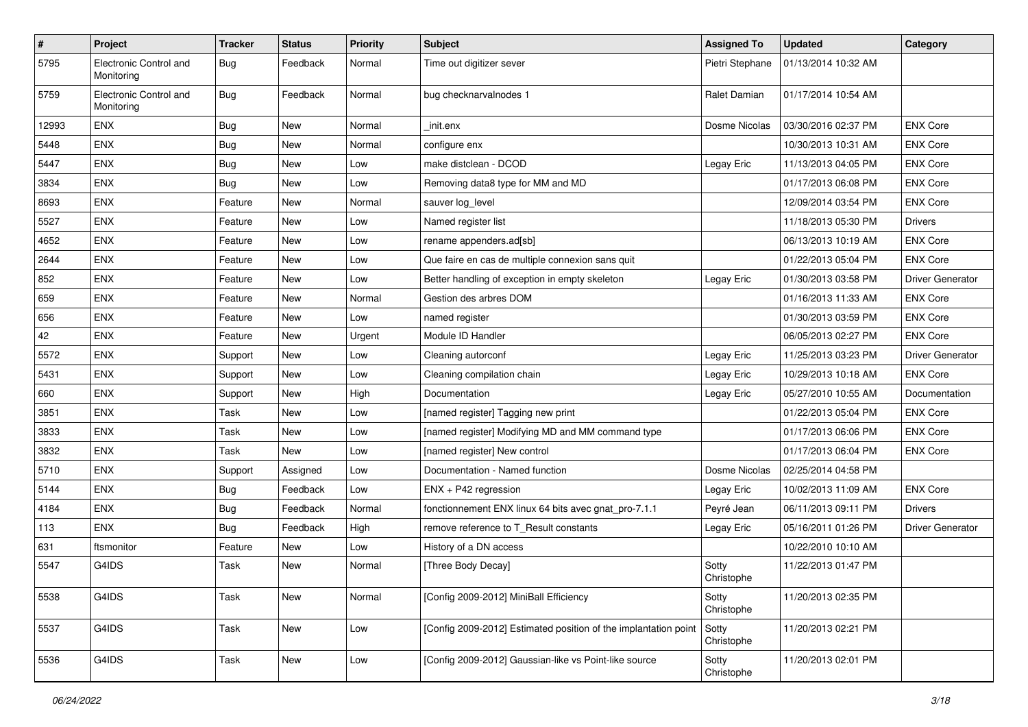| $\vert$ # | Project                              | <b>Tracker</b> | <b>Status</b> | <b>Priority</b> | <b>Subject</b>                                                  | <b>Assigned To</b>  | <b>Updated</b>      | Category                |
|-----------|--------------------------------------|----------------|---------------|-----------------|-----------------------------------------------------------------|---------------------|---------------------|-------------------------|
| 5795      | Electronic Control and<br>Monitoring | <b>Bug</b>     | Feedback      | Normal          | Time out digitizer sever                                        | Pietri Stephane     | 01/13/2014 10:32 AM |                         |
| 5759      | Electronic Control and<br>Monitoring | <b>Bug</b>     | Feedback      | Normal          | bug checknarvalnodes 1                                          | Ralet Damian        | 01/17/2014 10:54 AM |                         |
| 12993     | <b>ENX</b>                           | Bug            | <b>New</b>    | Normal          | init.enx                                                        | Dosme Nicolas       | 03/30/2016 02:37 PM | <b>ENX Core</b>         |
| 5448      | <b>ENX</b>                           | <b>Bug</b>     | <b>New</b>    | Normal          | configure enx                                                   |                     | 10/30/2013 10:31 AM | <b>ENX Core</b>         |
| 5447      | <b>ENX</b>                           | <b>Bug</b>     | <b>New</b>    | Low             | make distclean - DCOD                                           | Legay Eric          | 11/13/2013 04:05 PM | <b>ENX Core</b>         |
| 3834      | <b>ENX</b>                           | <b>Bug</b>     | New           | Low             | Removing data8 type for MM and MD                               |                     | 01/17/2013 06:08 PM | <b>ENX Core</b>         |
| 8693      | <b>ENX</b>                           | Feature        | <b>New</b>    | Normal          | sauver log_level                                                |                     | 12/09/2014 03:54 PM | <b>ENX Core</b>         |
| 5527      | <b>ENX</b>                           | Feature        | <b>New</b>    | Low             | Named register list                                             |                     | 11/18/2013 05:30 PM | <b>Drivers</b>          |
| 4652      | <b>ENX</b>                           | Feature        | New           | Low             | rename appenders.ad[sb]                                         |                     | 06/13/2013 10:19 AM | <b>ENX Core</b>         |
| 2644      | <b>ENX</b>                           | Feature        | <b>New</b>    | Low             | Que faire en cas de multiple connexion sans quit                |                     | 01/22/2013 05:04 PM | <b>ENX Core</b>         |
| 852       | <b>ENX</b>                           | Feature        | New           | Low             | Better handling of exception in empty skeleton                  | Legay Eric          | 01/30/2013 03:58 PM | <b>Driver Generator</b> |
| 659       | <b>ENX</b>                           | Feature        | New           | Normal          | Gestion des arbres DOM                                          |                     | 01/16/2013 11:33 AM | <b>ENX Core</b>         |
| 656       | <b>ENX</b>                           | Feature        | New           | Low             | named register                                                  |                     | 01/30/2013 03:59 PM | <b>ENX Core</b>         |
| 42        | <b>ENX</b>                           | Feature        | New           | Urgent          | Module ID Handler                                               |                     | 06/05/2013 02:27 PM | <b>ENX Core</b>         |
| 5572      | <b>ENX</b>                           | Support        | New           | Low             | Cleaning autorconf                                              | Legay Eric          | 11/25/2013 03:23 PM | <b>Driver Generator</b> |
| 5431      | <b>ENX</b>                           | Support        | New           | Low             | Cleaning compilation chain                                      | Legay Eric          | 10/29/2013 10:18 AM | <b>ENX Core</b>         |
| 660       | <b>ENX</b>                           | Support        | <b>New</b>    | High            | Documentation                                                   | Legay Eric          | 05/27/2010 10:55 AM | Documentation           |
| 3851      | <b>ENX</b>                           | Task           | <b>New</b>    | Low             | [named register] Tagging new print                              |                     | 01/22/2013 05:04 PM | <b>ENX Core</b>         |
| 3833      | <b>ENX</b>                           | Task           | New           | Low             | [named register] Modifying MD and MM command type               |                     | 01/17/2013 06:06 PM | <b>ENX Core</b>         |
| 3832      | <b>ENX</b>                           | Task           | <b>New</b>    | Low             | [named register] New control                                    |                     | 01/17/2013 06:04 PM | <b>ENX Core</b>         |
| 5710      | ENX                                  | Support        | Assigned      | Low             | Documentation - Named function                                  | Dosme Nicolas       | 02/25/2014 04:58 PM |                         |
| 5144      | <b>ENX</b>                           | Bug            | Feedback      | Low             | ENX + P42 regression                                            | Legay Eric          | 10/02/2013 11:09 AM | <b>ENX Core</b>         |
| 4184      | <b>ENX</b>                           | Bug            | Feedback      | Normal          | fonctionnement ENX linux 64 bits avec gnat_pro-7.1.1            | Peyré Jean          | 06/11/2013 09:11 PM | <b>Drivers</b>          |
| 113       | <b>ENX</b>                           | Bug            | Feedback      | High            | remove reference to T_Result constants                          | Legay Eric          | 05/16/2011 01:26 PM | <b>Driver Generator</b> |
| 631       | ftsmonitor                           | Feature        | New           | Low             | History of a DN access                                          |                     | 10/22/2010 10:10 AM |                         |
| 5547      | G4IDS                                | Task           | <b>New</b>    | Normal          | [Three Body Decay]                                              | Sotty<br>Christophe | 11/22/2013 01:47 PM |                         |
| 5538      | G4IDS                                | Task           | New           | Normal          | [Config 2009-2012] MiniBall Efficiency                          | Sotty<br>Christophe | 11/20/2013 02:35 PM |                         |
| 5537      | G4IDS                                | Task           | New           | Low             | [Config 2009-2012] Estimated position of the implantation point | Sotty<br>Christophe | 11/20/2013 02:21 PM |                         |
| 5536      | G4IDS                                | Task           | New           | Low             | [Config 2009-2012] Gaussian-like vs Point-like source           | Sotty<br>Christophe | 11/20/2013 02:01 PM |                         |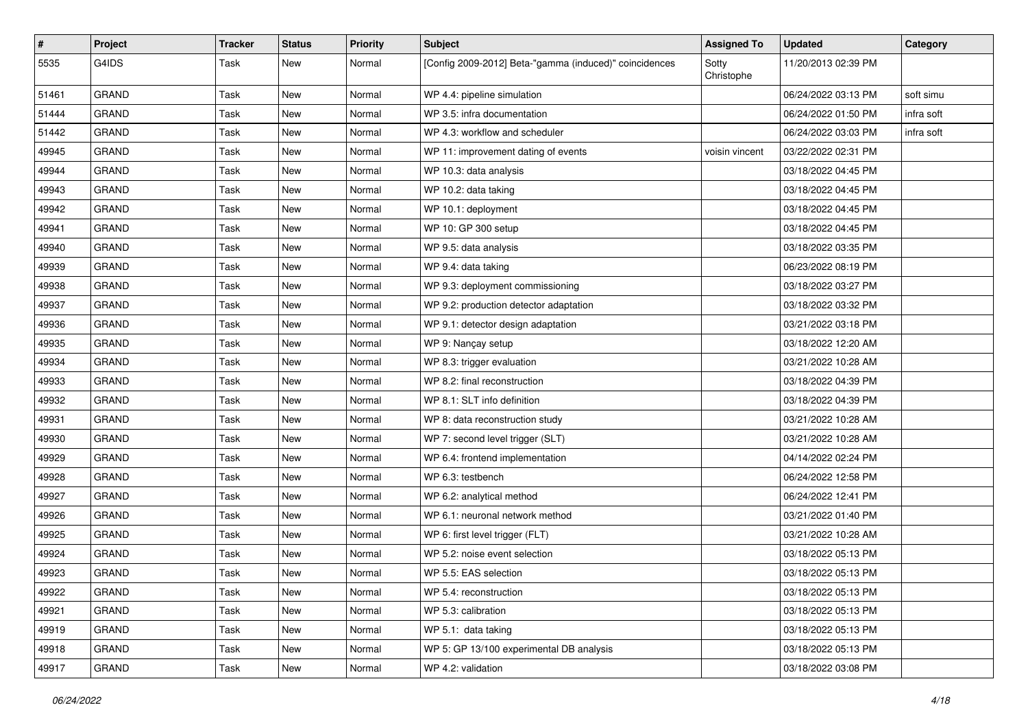| #     | Project      | <b>Tracker</b> | <b>Status</b> | <b>Priority</b> | <b>Subject</b>                                         | <b>Assigned To</b>  | <b>Updated</b>      | Category   |
|-------|--------------|----------------|---------------|-----------------|--------------------------------------------------------|---------------------|---------------------|------------|
| 5535  | G4IDS        | Task           | New           | Normal          | [Config 2009-2012] Beta-"gamma (induced)" coincidences | Sotty<br>Christophe | 11/20/2013 02:39 PM |            |
| 51461 | <b>GRAND</b> | Task           | New           | Normal          | WP 4.4: pipeline simulation                            |                     | 06/24/2022 03:13 PM | soft simu  |
| 51444 | GRAND        | Task           | <b>New</b>    | Normal          | WP 3.5: infra documentation                            |                     | 06/24/2022 01:50 PM | infra soft |
| 51442 | <b>GRAND</b> | Task           | New           | Normal          | WP 4.3: workflow and scheduler                         |                     | 06/24/2022 03:03 PM | infra soft |
| 49945 | <b>GRAND</b> | Task           | New           | Normal          | WP 11: improvement dating of events                    | voisin vincent      | 03/22/2022 02:31 PM |            |
| 49944 | <b>GRAND</b> | Task           | <b>New</b>    | Normal          | WP 10.3: data analysis                                 |                     | 03/18/2022 04:45 PM |            |
| 49943 | <b>GRAND</b> | Task           | New           | Normal          | WP 10.2: data taking                                   |                     | 03/18/2022 04:45 PM |            |
| 49942 | <b>GRAND</b> | Task           | <b>New</b>    | Normal          | WP 10.1: deployment                                    |                     | 03/18/2022 04:45 PM |            |
| 49941 | <b>GRAND</b> | Task           | New           | Normal          | WP 10: GP 300 setup                                    |                     | 03/18/2022 04:45 PM |            |
| 49940 | <b>GRAND</b> | Task           | <b>New</b>    | Normal          | WP 9.5: data analysis                                  |                     | 03/18/2022 03:35 PM |            |
| 49939 | <b>GRAND</b> | Task           | <b>New</b>    | Normal          | WP 9.4: data taking                                    |                     | 06/23/2022 08:19 PM |            |
| 49938 | <b>GRAND</b> | Task           | New           | Normal          | WP 9.3: deployment commissioning                       |                     | 03/18/2022 03:27 PM |            |
| 49937 | <b>GRAND</b> | Task           | <b>New</b>    | Normal          | WP 9.2: production detector adaptation                 |                     | 03/18/2022 03:32 PM |            |
| 49936 | <b>GRAND</b> | Task           | New           | Normal          | WP 9.1: detector design adaptation                     |                     | 03/21/2022 03:18 PM |            |
| 49935 | <b>GRAND</b> | Task           | <b>New</b>    | Normal          | WP 9: Nançay setup                                     |                     | 03/18/2022 12:20 AM |            |
| 49934 | <b>GRAND</b> | Task           | <b>New</b>    | Normal          | WP 8.3: trigger evaluation                             |                     | 03/21/2022 10:28 AM |            |
| 49933 | <b>GRAND</b> | Task           | New           | Normal          | WP 8.2: final reconstruction                           |                     | 03/18/2022 04:39 PM |            |
| 49932 | <b>GRAND</b> | Task           | <b>New</b>    | Normal          | WP 8.1: SLT info definition                            |                     | 03/18/2022 04:39 PM |            |
| 49931 | <b>GRAND</b> | Task           | <b>New</b>    | Normal          | WP 8: data reconstruction study                        |                     | 03/21/2022 10:28 AM |            |
| 49930 | <b>GRAND</b> | Task           | New           | Normal          | WP 7: second level trigger (SLT)                       |                     | 03/21/2022 10:28 AM |            |
| 49929 | <b>GRAND</b> | Task           | <b>New</b>    | Normal          | WP 6.4: frontend implementation                        |                     | 04/14/2022 02:24 PM |            |
| 49928 | <b>GRAND</b> | Task           | New           | Normal          | WP 6.3: testbench                                      |                     | 06/24/2022 12:58 PM |            |
| 49927 | <b>GRAND</b> | Task           | New           | Normal          | WP 6.2: analytical method                              |                     | 06/24/2022 12:41 PM |            |
| 49926 | <b>GRAND</b> | Task           | <b>New</b>    | Normal          | WP 6.1: neuronal network method                        |                     | 03/21/2022 01:40 PM |            |
| 49925 | <b>GRAND</b> | Task           | New           | Normal          | WP 6: first level trigger (FLT)                        |                     | 03/21/2022 10:28 AM |            |
| 49924 | <b>GRAND</b> | Task           | <b>New</b>    | Normal          | WP 5.2: noise event selection                          |                     | 03/18/2022 05:13 PM |            |
| 49923 | <b>GRAND</b> | Task           | New           | Normal          | WP 5.5: EAS selection                                  |                     | 03/18/2022 05:13 PM |            |
| 49922 | <b>GRAND</b> | Task           | New           | Normal          | WP 5.4: reconstruction                                 |                     | 03/18/2022 05:13 PM |            |
| 49921 | GRAND        | Task           | New           | Normal          | WP 5.3: calibration                                    |                     | 03/18/2022 05:13 PM |            |
| 49919 | <b>GRAND</b> | Task           | New           | Normal          | WP 5.1: data taking                                    |                     | 03/18/2022 05:13 PM |            |
| 49918 | GRAND        | Task           | New           | Normal          | WP 5: GP 13/100 experimental DB analysis               |                     | 03/18/2022 05:13 PM |            |
| 49917 | GRAND        | Task           | New           | Normal          | WP 4.2: validation                                     |                     | 03/18/2022 03:08 PM |            |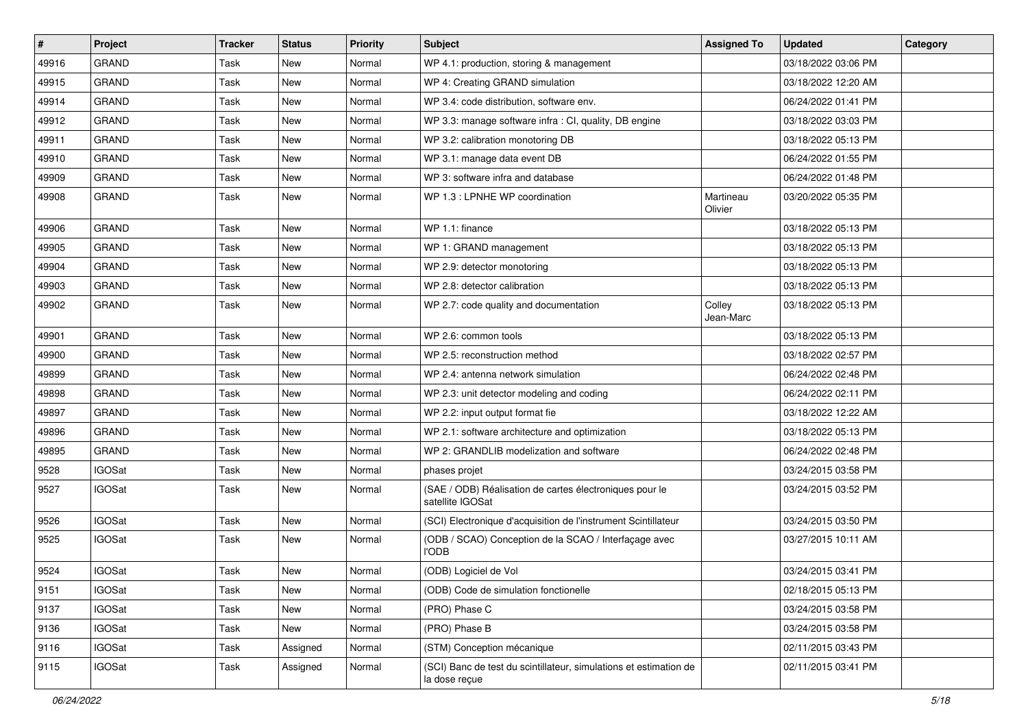| $\vert$ # | Project       | <b>Tracker</b> | <b>Status</b> | <b>Priority</b> | Subject                                                                            | <b>Assigned To</b>   | <b>Updated</b>      | Category |
|-----------|---------------|----------------|---------------|-----------------|------------------------------------------------------------------------------------|----------------------|---------------------|----------|
| 49916     | <b>GRAND</b>  | Task           | <b>New</b>    | Normal          | WP 4.1: production, storing & management                                           |                      | 03/18/2022 03:06 PM |          |
| 49915     | <b>GRAND</b>  | Task           | <b>New</b>    | Normal          | WP 4: Creating GRAND simulation                                                    |                      | 03/18/2022 12:20 AM |          |
| 49914     | <b>GRAND</b>  | Task           | <b>New</b>    | Normal          | WP 3.4: code distribution, software env.                                           |                      | 06/24/2022 01:41 PM |          |
| 49912     | GRAND         | Task           | <b>New</b>    | Normal          | WP 3.3: manage software infra : CI, quality, DB engine                             |                      | 03/18/2022 03:03 PM |          |
| 49911     | <b>GRAND</b>  | Task           | <b>New</b>    | Normal          | WP 3.2: calibration monotoring DB                                                  |                      | 03/18/2022 05:13 PM |          |
| 49910     | <b>GRAND</b>  | Task           | <b>New</b>    | Normal          | WP 3.1: manage data event DB                                                       |                      | 06/24/2022 01:55 PM |          |
| 49909     | GRAND         | Task           | <b>New</b>    | Normal          | WP 3: software infra and database                                                  |                      | 06/24/2022 01:48 PM |          |
| 49908     | <b>GRAND</b>  | Task           | <b>New</b>    | Normal          | WP 1.3 : LPNHE WP coordination                                                     | Martineau<br>Olivier | 03/20/2022 05:35 PM |          |
| 49906     | <b>GRAND</b>  | Task           | New           | Normal          | WP 1.1: finance                                                                    |                      | 03/18/2022 05:13 PM |          |
| 49905     | <b>GRAND</b>  | Task           | <b>New</b>    | Normal          | WP 1: GRAND management                                                             |                      | 03/18/2022 05:13 PM |          |
| 49904     | GRAND         | Task           | New           | Normal          | WP 2.9: detector monotoring                                                        |                      | 03/18/2022 05:13 PM |          |
| 49903     | <b>GRAND</b>  | Task           | <b>New</b>    | Normal          | WP 2.8: detector calibration                                                       |                      | 03/18/2022 05:13 PM |          |
| 49902     | <b>GRAND</b>  | Task           | <b>New</b>    | Normal          | WP 2.7: code quality and documentation                                             | Colley<br>Jean-Marc  | 03/18/2022 05:13 PM |          |
| 49901     | GRAND         | Task           | <b>New</b>    | Normal          | WP 2.6: common tools                                                               |                      | 03/18/2022 05:13 PM |          |
| 49900     | <b>GRAND</b>  | Task           | <b>New</b>    | Normal          | WP 2.5: reconstruction method                                                      |                      | 03/18/2022 02:57 PM |          |
| 49899     | <b>GRAND</b>  | Task           | <b>New</b>    | Normal          | WP 2.4: antenna network simulation                                                 |                      | 06/24/2022 02:48 PM |          |
| 49898     | <b>GRAND</b>  | Task           | <b>New</b>    | Normal          | WP 2.3: unit detector modeling and coding                                          |                      | 06/24/2022 02:11 PM |          |
| 49897     | GRAND         | Task           | <b>New</b>    | Normal          | WP 2.2: input output format fie                                                    |                      | 03/18/2022 12:22 AM |          |
| 49896     | <b>GRAND</b>  | Task           | <b>New</b>    | Normal          | WP 2.1: software architecture and optimization                                     |                      | 03/18/2022 05:13 PM |          |
| 49895     | <b>GRAND</b>  | Task           | <b>New</b>    | Normal          | WP 2: GRANDLIB modelization and software                                           |                      | 06/24/2022 02:48 PM |          |
| 9528      | <b>IGOSat</b> | Task           | New           | Normal          | phases projet                                                                      |                      | 03/24/2015 03:58 PM |          |
| 9527      | <b>IGOSat</b> | Task           | New           | Normal          | (SAE / ODB) Réalisation de cartes électroniques pour le<br>satellite IGOSat        |                      | 03/24/2015 03:52 PM |          |
| 9526      | <b>IGOSat</b> | Task           | New           | Normal          | (SCI) Electronique d'acquisition de l'instrument Scintillateur                     |                      | 03/24/2015 03:50 PM |          |
| 9525      | <b>IGOSat</b> | Task           | New           | Normal          | (ODB / SCAO) Conception de la SCAO / Interfaçage avec<br>l'odb                     |                      | 03/27/2015 10:11 AM |          |
| 9524      | <b>IGOSat</b> | Task           | <b>New</b>    | Normal          | (ODB) Logiciel de Vol                                                              |                      | 03/24/2015 03:41 PM |          |
| 9151      | <b>IGOSat</b> | Task           | New           | Normal          | (ODB) Code de simulation fonctionelle                                              |                      | 02/18/2015 05:13 PM |          |
| 9137      | <b>IGOSat</b> | Task           | New           | Normal          | (PRO) Phase C                                                                      |                      | 03/24/2015 03:58 PM |          |
| 9136      | <b>IGOSat</b> | Task           | New           | Normal          | (PRO) Phase B                                                                      |                      | 03/24/2015 03:58 PM |          |
| 9116      | <b>IGOSat</b> | Task           | Assigned      | Normal          | (STM) Conception mécanique                                                         |                      | 02/11/2015 03:43 PM |          |
| 9115      | <b>IGOSat</b> | Task           | Assigned      | Normal          | (SCI) Banc de test du scintillateur, simulations et estimation de<br>la dose reçue |                      | 02/11/2015 03:41 PM |          |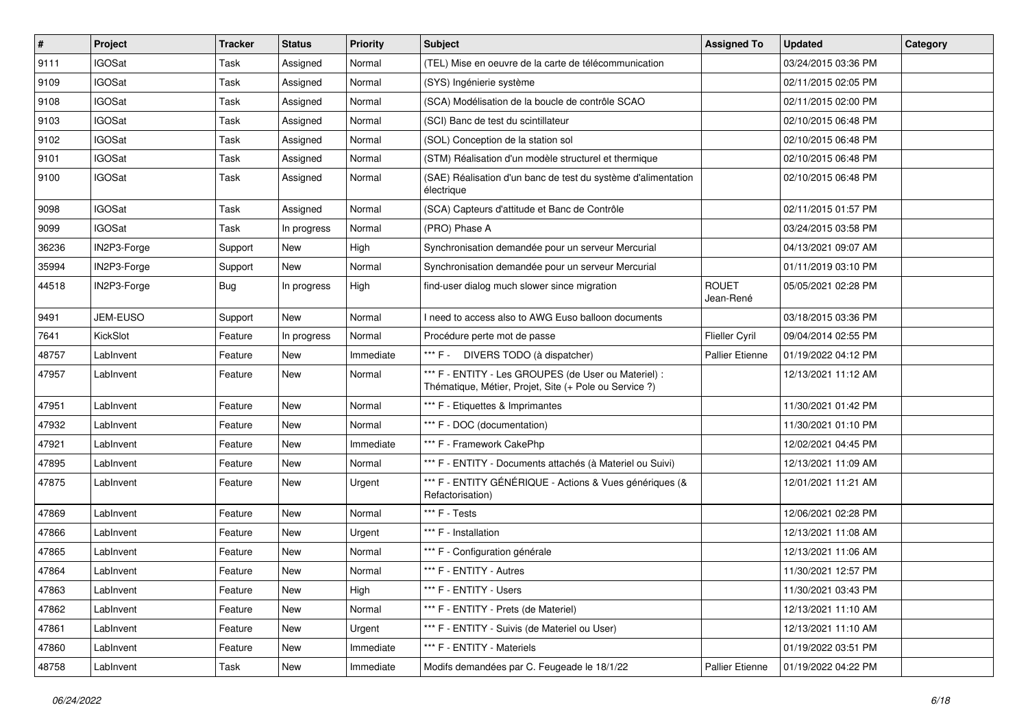| $\vert$ # | Project         | <b>Tracker</b> | <b>Status</b> | <b>Priority</b> | Subject                                                                                                        | <b>Assigned To</b>        | <b>Updated</b>      | Category |
|-----------|-----------------|----------------|---------------|-----------------|----------------------------------------------------------------------------------------------------------------|---------------------------|---------------------|----------|
| 9111      | <b>IGOSat</b>   | Task           | Assigned      | Normal          | (TEL) Mise en oeuvre de la carte de télécommunication                                                          |                           | 03/24/2015 03:36 PM |          |
| 9109      | <b>IGOSat</b>   | Task           | Assigned      | Normal          | (SYS) Ingénierie système                                                                                       |                           | 02/11/2015 02:05 PM |          |
| 9108      | <b>IGOSat</b>   | Task           | Assigned      | Normal          | (SCA) Modélisation de la boucle de contrôle SCAO                                                               |                           | 02/11/2015 02:00 PM |          |
| 9103      | <b>IGOSat</b>   | Task           | Assigned      | Normal          | (SCI) Banc de test du scintillateur                                                                            |                           | 02/10/2015 06:48 PM |          |
| 9102      | <b>IGOSat</b>   | Task           | Assigned      | Normal          | (SOL) Conception de la station sol                                                                             |                           | 02/10/2015 06:48 PM |          |
| 9101      | <b>IGOSat</b>   | Task           | Assigned      | Normal          | (STM) Réalisation d'un modèle structurel et thermique                                                          |                           | 02/10/2015 06:48 PM |          |
| 9100      | <b>IGOSat</b>   | Task           | Assigned      | Normal          | (SAE) Réalisation d'un banc de test du système d'alimentation<br>électrique                                    |                           | 02/10/2015 06:48 PM |          |
| 9098      | <b>IGOSat</b>   | Task           | Assigned      | Normal          | (SCA) Capteurs d'attitude et Banc de Contrôle                                                                  |                           | 02/11/2015 01:57 PM |          |
| 9099      | <b>IGOSat</b>   | Task           | In progress   | Normal          | (PRO) Phase A                                                                                                  |                           | 03/24/2015 03:58 PM |          |
| 36236     | IN2P3-Forge     | Support        | New           | High            | Synchronisation demandée pour un serveur Mercurial                                                             |                           | 04/13/2021 09:07 AM |          |
| 35994     | IN2P3-Forge     | Support        | New           | Normal          | Synchronisation demandée pour un serveur Mercurial                                                             |                           | 01/11/2019 03:10 PM |          |
| 44518     | IN2P3-Forge     | <b>Bug</b>     | In progress   | High            | find-user dialog much slower since migration                                                                   | <b>ROUET</b><br>Jean-René | 05/05/2021 02:28 PM |          |
| 9491      | <b>JEM-EUSO</b> | Support        | <b>New</b>    | Normal          | I need to access also to AWG Euso balloon documents                                                            |                           | 03/18/2015 03:36 PM |          |
| 7641      | KickSlot        | Feature        | In progress   | Normal          | Procédure perte mot de passe                                                                                   | Flieller Cyril            | 09/04/2014 02:55 PM |          |
| 48757     | LabInvent       | Feature        | New           | Immediate       | *** F - DIVERS TODO (à dispatcher)                                                                             | <b>Pallier Etienne</b>    | 01/19/2022 04:12 PM |          |
| 47957     | LabInvent       | Feature        | <b>New</b>    | Normal          | *** F - ENTITY - Les GROUPES (de User ou Materiel) :<br>Thématique, Métier, Projet, Site (+ Pole ou Service ?) |                           | 12/13/2021 11:12 AM |          |
| 47951     | LabInvent       | Feature        | <b>New</b>    | Normal          | *** F - Etiquettes & Imprimantes                                                                               |                           | 11/30/2021 01:42 PM |          |
| 47932     | LabInvent       | Feature        | <b>New</b>    | Normal          | *** F - DOC (documentation)                                                                                    |                           | 11/30/2021 01:10 PM |          |
| 47921     | LabInvent       | Feature        | New           | Immediate       | *** F - Framework CakePhp                                                                                      |                           | 12/02/2021 04:45 PM |          |
| 47895     | LabInvent       | Feature        | <b>New</b>    | Normal          | *** F - ENTITY - Documents attachés (à Materiel ou Suivi)                                                      |                           | 12/13/2021 11:09 AM |          |
| 47875     | LabInvent       | Feature        | New           | Urgent          | *** F - ENTITY GÉNÉRIQUE - Actions & Vues génériques (&<br>Refactorisation)                                    |                           | 12/01/2021 11:21 AM |          |
| 47869     | LabInvent       | Feature        | <b>New</b>    | Normal          | *** F - Tests                                                                                                  |                           | 12/06/2021 02:28 PM |          |
| 47866     | LabInvent       | Feature        | New           | Urgent          | *** F - Installation                                                                                           |                           | 12/13/2021 11:08 AM |          |
| 47865     | LabInvent       | Feature        | New           | Normal          | *** F - Configuration générale                                                                                 |                           | 12/13/2021 11:06 AM |          |
| 47864     | LabInvent       | Feature        | New           | Normal          | *** F - ENTITY - Autres                                                                                        |                           | 11/30/2021 12:57 PM |          |
| 47863     | LabInvent       | Feature        | New           | High            | *** F - ENTITY - Users                                                                                         |                           | 11/30/2021 03:43 PM |          |
| 47862     | LabInvent       | Feature        | New           | Normal          | *** F - ENTITY - Prets (de Materiel)                                                                           |                           | 12/13/2021 11:10 AM |          |
| 47861     | LabInvent       | Feature        | New           | Urgent          | *** F - ENTITY - Suivis (de Materiel ou User)                                                                  |                           | 12/13/2021 11:10 AM |          |
| 47860     | LabInvent       | Feature        | <b>New</b>    | Immediate       | *** F - ENTITY - Materiels                                                                                     |                           | 01/19/2022 03:51 PM |          |
| 48758     | LabInvent       | Task           | New           | Immediate       | Modifs demandées par C. Feugeade le 18/1/22                                                                    | Pallier Etienne           | 01/19/2022 04:22 PM |          |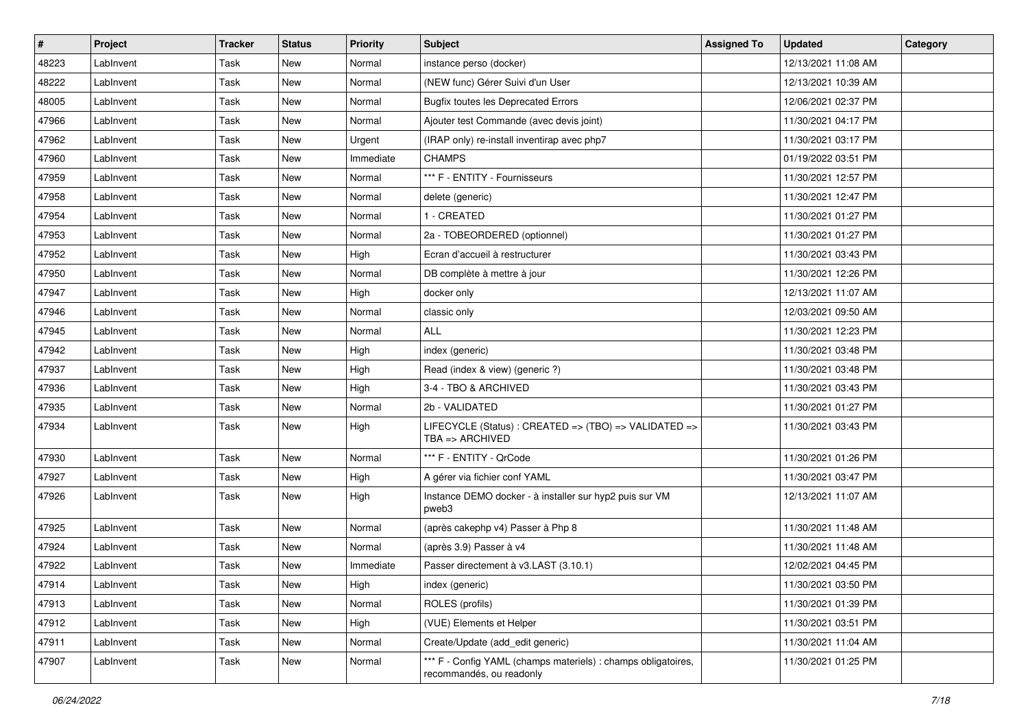| #     | Project   | <b>Tracker</b> | <b>Status</b> | <b>Priority</b> | <b>Subject</b>                                                                            | <b>Assigned To</b> | <b>Updated</b>      | Category |
|-------|-----------|----------------|---------------|-----------------|-------------------------------------------------------------------------------------------|--------------------|---------------------|----------|
| 48223 | LabInvent | Task           | <b>New</b>    | Normal          | instance perso (docker)                                                                   |                    | 12/13/2021 11:08 AM |          |
| 48222 | LabInvent | Task           | New           | Normal          | (NEW func) Gérer Suivi d'un User                                                          |                    | 12/13/2021 10:39 AM |          |
| 48005 | LabInvent | Task           | New           | Normal          | <b>Bugfix toutes les Deprecated Errors</b>                                                |                    | 12/06/2021 02:37 PM |          |
| 47966 | LabInvent | Task           | New           | Normal          | Ajouter test Commande (avec devis joint)                                                  |                    | 11/30/2021 04:17 PM |          |
| 47962 | Lablnvent | Task           | New           | Urgent          | (IRAP only) re-install inventirap avec php7                                               |                    | 11/30/2021 03:17 PM |          |
| 47960 | LabInvent | Task           | New           | Immediate       | <b>CHAMPS</b>                                                                             |                    | 01/19/2022 03:51 PM |          |
| 47959 | LabInvent | Task           | <b>New</b>    | Normal          | *** F - ENTITY - Fournisseurs                                                             |                    | 11/30/2021 12:57 PM |          |
| 47958 | Lablnvent | Task           | New           | Normal          | delete (generic)                                                                          |                    | 11/30/2021 12:47 PM |          |
| 47954 | Lablnvent | Task           | New           | Normal          | 1 - CREATED                                                                               |                    | 11/30/2021 01:27 PM |          |
| 47953 | LabInvent | Task           | New           | Normal          | 2a - TOBEORDERED (optionnel)                                                              |                    | 11/30/2021 01:27 PM |          |
| 47952 | LabInvent | Task           | New           | High            | Ecran d'accueil à restructurer                                                            |                    | 11/30/2021 03:43 PM |          |
| 47950 | LabInvent | Task           | <b>New</b>    | Normal          | DB complète à mettre à jour                                                               |                    | 11/30/2021 12:26 PM |          |
| 47947 | LabInvent | Task           | New           | High            | docker only                                                                               |                    | 12/13/2021 11:07 AM |          |
| 47946 | LabInvent | Task           | <b>New</b>    | Normal          | classic only                                                                              |                    | 12/03/2021 09:50 AM |          |
| 47945 | LabInvent | Task           | New           | Normal          | ALL                                                                                       |                    | 11/30/2021 12:23 PM |          |
| 47942 | LabInvent | Task           | New           | High            | index (generic)                                                                           |                    | 11/30/2021 03:48 PM |          |
| 47937 | LabInvent | Task           | New           | High            | Read (index & view) (generic ?)                                                           |                    | 11/30/2021 03:48 PM |          |
| 47936 | Lablnvent | Task           | New           | High            | 3-4 - TBO & ARCHIVED                                                                      |                    | 11/30/2021 03:43 PM |          |
| 47935 | LabInvent | Task           | <b>New</b>    | Normal          | 2b - VALIDATED                                                                            |                    | 11/30/2021 01:27 PM |          |
| 47934 | LabInvent | Task           | New           | High            | LIFECYCLE (Status) : CREATED => (TBO) => VALIDATED =><br>$TBA \Rightarrow ARCHIVED$       |                    | 11/30/2021 03:43 PM |          |
| 47930 | LabInvent | Task           | New           | Normal          | *** F - ENTITY - QrCode                                                                   |                    | 11/30/2021 01:26 PM |          |
| 47927 | LabInvent | Task           | New           | High            | A gérer via fichier conf YAML                                                             |                    | 11/30/2021 03:47 PM |          |
| 47926 | LabInvent | Task           | New           | High            | Instance DEMO docker - à installer sur hyp2 puis sur VM<br>pweb3                          |                    | 12/13/2021 11:07 AM |          |
| 47925 | LabInvent | Task           | New           | Normal          | (après cakephp v4) Passer à Php 8                                                         |                    | 11/30/2021 11:48 AM |          |
| 47924 | LabInvent | Task           | <b>New</b>    | Normal          | (après 3.9) Passer à v4                                                                   |                    | 11/30/2021 11:48 AM |          |
| 47922 | LabInvent | Task           | New           | Immediate       | Passer directement à v3.LAST (3.10.1)                                                     |                    | 12/02/2021 04:45 PM |          |
| 47914 | LabInvent | Task           | New           | High            | index (generic)                                                                           |                    | 11/30/2021 03:50 PM |          |
| 47913 | LabInvent | Task           | New           | Normal          | ROLES (profils)                                                                           |                    | 11/30/2021 01:39 PM |          |
| 47912 | LabInvent | Task           | New           | High            | (VUE) Elements et Helper                                                                  |                    | 11/30/2021 03:51 PM |          |
| 47911 | LabInvent | Task           | New           | Normal          | Create/Update (add_edit generic)                                                          |                    | 11/30/2021 11:04 AM |          |
| 47907 | LabInvent | Task           | New           | Normal          | *** F - Config YAML (champs materiels) : champs obligatoires,<br>recommandés, ou readonly |                    | 11/30/2021 01:25 PM |          |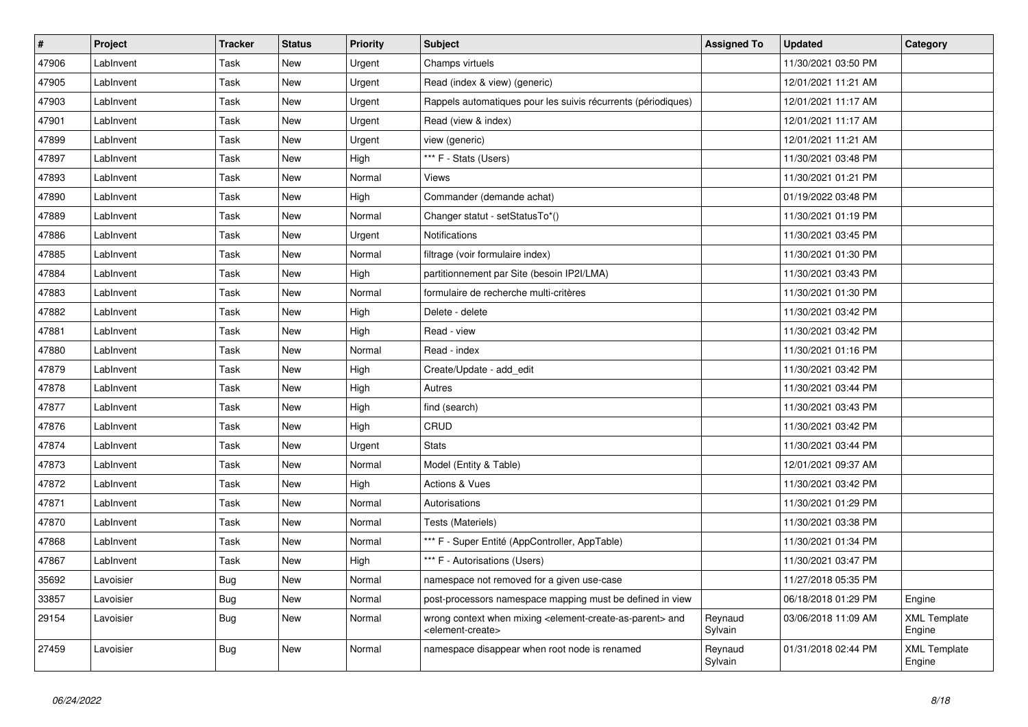| $\vert$ # | Project   | <b>Tracker</b> | <b>Status</b> | <b>Priority</b> | <b>Subject</b>                                                                                                            | <b>Assigned To</b> | <b>Updated</b>      | Category                      |
|-----------|-----------|----------------|---------------|-----------------|---------------------------------------------------------------------------------------------------------------------------|--------------------|---------------------|-------------------------------|
| 47906     | LabInvent | Task           | <b>New</b>    | Urgent          | Champs virtuels                                                                                                           |                    | 11/30/2021 03:50 PM |                               |
| 47905     | LabInvent | Task           | New           | Urgent          | Read (index & view) (generic)                                                                                             |                    | 12/01/2021 11:21 AM |                               |
| 47903     | LabInvent | Task           | New           | Urgent          | Rappels automatiques pour les suivis récurrents (périodiques)                                                             |                    | 12/01/2021 11:17 AM |                               |
| 47901     | Lablnvent | Task           | New           | Urgent          | Read (view & index)                                                                                                       |                    | 12/01/2021 11:17 AM |                               |
| 47899     | Lablnvent | Task           | New           | Urgent          | view (generic)                                                                                                            |                    | 12/01/2021 11:21 AM |                               |
| 47897     | LabInvent | Task           | <b>New</b>    | High            | *** F - Stats (Users)                                                                                                     |                    | 11/30/2021 03:48 PM |                               |
| 47893     | LabInvent | Task           | New           | Normal          | Views                                                                                                                     |                    | 11/30/2021 01:21 PM |                               |
| 47890     | LabInvent | Task           | New           | High            | Commander (demande achat)                                                                                                 |                    | 01/19/2022 03:48 PM |                               |
| 47889     | LabInvent | Task           | New           | Normal          | Changer statut - setStatusTo*()                                                                                           |                    | 11/30/2021 01:19 PM |                               |
| 47886     | LabInvent | Task           | <b>New</b>    | Urgent          | Notifications                                                                                                             |                    | 11/30/2021 03:45 PM |                               |
| 47885     | LabInvent | Task           | New           | Normal          | filtrage (voir formulaire index)                                                                                          |                    | 11/30/2021 01:30 PM |                               |
| 47884     | Lablnvent | Task           | New           | High            | partitionnement par Site (besoin IP2I/LMA)                                                                                |                    | 11/30/2021 03:43 PM |                               |
| 47883     | Lablnvent | Task           | New           | Normal          | formulaire de recherche multi-critères                                                                                    |                    | 11/30/2021 01:30 PM |                               |
| 47882     | Lablnvent | Task           | <b>New</b>    | High            | Delete - delete                                                                                                           |                    | 11/30/2021 03:42 PM |                               |
| 47881     | LabInvent | Task           | New           | High            | Read - view                                                                                                               |                    | 11/30/2021 03:42 PM |                               |
| 47880     | LabInvent | Task           | New           | Normal          | Read - index                                                                                                              |                    | 11/30/2021 01:16 PM |                               |
| 47879     | LabInvent | Task           | New           | High            | Create/Update - add edit                                                                                                  |                    | 11/30/2021 03:42 PM |                               |
| 47878     | LabInvent | Task           | <b>New</b>    | High            | Autres                                                                                                                    |                    | 11/30/2021 03:44 PM |                               |
| 47877     | LabInvent | Task           | New           | High            | find (search)                                                                                                             |                    | 11/30/2021 03:43 PM |                               |
| 47876     | LabInvent | Task           | New           | High            | CRUD                                                                                                                      |                    | 11/30/2021 03:42 PM |                               |
| 47874     | Lablnvent | Task           | <b>New</b>    | Urgent          | <b>Stats</b>                                                                                                              |                    | 11/30/2021 03:44 PM |                               |
| 47873     | Lablnvent | Task           | <b>New</b>    | Normal          | Model (Entity & Table)                                                                                                    |                    | 12/01/2021 09:37 AM |                               |
| 47872     | Lablnvent | Task           | <b>New</b>    | High            | <b>Actions &amp; Vues</b>                                                                                                 |                    | 11/30/2021 03:42 PM |                               |
| 47871     | LabInvent | Task           | New           | Normal          | Autorisations                                                                                                             |                    | 11/30/2021 01:29 PM |                               |
| 47870     | LabInvent | Task           | New           | Normal          | Tests (Materiels)                                                                                                         |                    | 11/30/2021 03:38 PM |                               |
| 47868     | LabInvent | Task           | <b>New</b>    | Normal          | *** F - Super Entité (AppController, AppTable)                                                                            |                    | 11/30/2021 01:34 PM |                               |
| 47867     | LabInvent | Task           | New           | High            | *** F - Autorisations (Users)                                                                                             |                    | 11/30/2021 03:47 PM |                               |
| 35692     | Lavoisier | Bug            | New           | Normal          | namespace not removed for a given use-case                                                                                |                    | 11/27/2018 05:35 PM |                               |
| 33857     | Lavoisier | Bug            | New           | Normal          | post-processors namespace mapping must be defined in view                                                                 |                    | 06/18/2018 01:29 PM | Engine                        |
| 29154     | Lavoisier | <b>Bug</b>     | <b>New</b>    | Normal          | wrong context when mixing <element-create-as-parent> and<br/><element-create></element-create></element-create-as-parent> | Reynaud<br>Sylvain | 03/06/2018 11:09 AM | <b>XML Template</b><br>Engine |
| 27459     | Lavoisier | Bug            | New           | Normal          | namespace disappear when root node is renamed                                                                             | Reynaud<br>Sylvain | 01/31/2018 02:44 PM | <b>XML Template</b><br>Engine |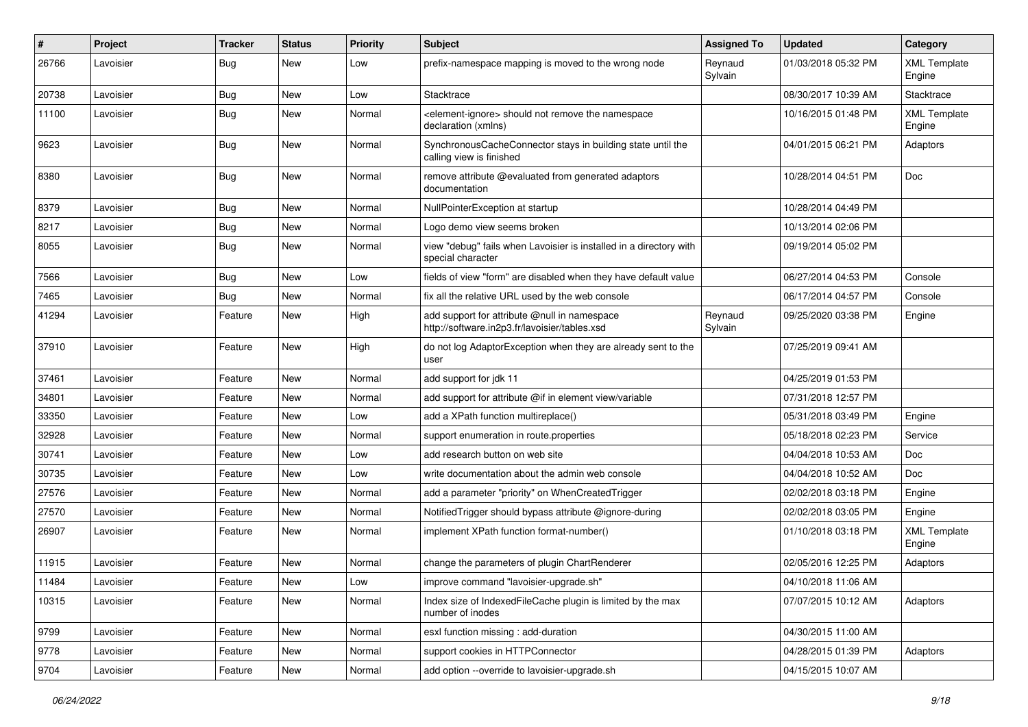| $\pmb{\#}$ | Project   | <b>Tracker</b> | <b>Status</b> | <b>Priority</b> | Subject                                                                                       | <b>Assigned To</b> | <b>Updated</b>      | Category                      |
|------------|-----------|----------------|---------------|-----------------|-----------------------------------------------------------------------------------------------|--------------------|---------------------|-------------------------------|
| 26766      | Lavoisier | Bug            | <b>New</b>    | Low             | prefix-namespace mapping is moved to the wrong node                                           | Reynaud<br>Sylvain | 01/03/2018 05:32 PM | <b>XML Template</b><br>Engine |
| 20738      | Lavoisier | Bug            | New           | Low             | Stacktrace                                                                                    |                    | 08/30/2017 10:39 AM | Stacktrace                    |
| 11100      | Lavoisier | <b>Bug</b>     | New           | Normal          | <element-ignore> should not remove the namespace<br/>declaration (xmlns)</element-ignore>     |                    | 10/16/2015 01:48 PM | <b>XML Template</b><br>Engine |
| 9623       | Lavoisier | Bug            | <b>New</b>    | Normal          | SynchronousCacheConnector stays in building state until the<br>calling view is finished       |                    | 04/01/2015 06:21 PM | Adaptors                      |
| 8380       | Lavoisier | Bug            | New           | Normal          | remove attribute @evaluated from generated adaptors<br>documentation                          |                    | 10/28/2014 04:51 PM | Doc                           |
| 8379       | Lavoisier | Bug            | <b>New</b>    | Normal          | NullPointerException at startup                                                               |                    | 10/28/2014 04:49 PM |                               |
| 8217       | Lavoisier | <b>Bug</b>     | New           | Normal          | Logo demo view seems broken                                                                   |                    | 10/13/2014 02:06 PM |                               |
| 8055       | Lavoisier | Bug            | New           | Normal          | view "debug" fails when Lavoisier is installed in a directory with<br>special character       |                    | 09/19/2014 05:02 PM |                               |
| 7566       | Lavoisier | Bug            | <b>New</b>    | Low             | fields of view "form" are disabled when they have default value                               |                    | 06/27/2014 04:53 PM | Console                       |
| 7465       | Lavoisier | Bug            | <b>New</b>    | Normal          | fix all the relative URL used by the web console                                              |                    | 06/17/2014 04:57 PM | Console                       |
| 41294      | Lavoisier | Feature        | New           | High            | add support for attribute @null in namespace<br>http://software.in2p3.fr/lavoisier/tables.xsd | Reynaud<br>Sylvain | 09/25/2020 03:38 PM | Engine                        |
| 37910      | Lavoisier | Feature        | <b>New</b>    | High            | do not log AdaptorException when they are already sent to the<br>user                         |                    | 07/25/2019 09:41 AM |                               |
| 37461      | Lavoisier | Feature        | <b>New</b>    | Normal          | add support for jdk 11                                                                        |                    | 04/25/2019 01:53 PM |                               |
| 34801      | Lavoisier | Feature        | <b>New</b>    | Normal          | add support for attribute @if in element view/variable                                        |                    | 07/31/2018 12:57 PM |                               |
| 33350      | Lavoisier | Feature        | New           | Low             | add a XPath function multireplace()                                                           |                    | 05/31/2018 03:49 PM | Engine                        |
| 32928      | Lavoisier | Feature        | New           | Normal          | support enumeration in route properties                                                       |                    | 05/18/2018 02:23 PM | Service                       |
| 30741      | Lavoisier | Feature        | <b>New</b>    | Low             | add research button on web site                                                               |                    | 04/04/2018 10:53 AM | Doc                           |
| 30735      | Lavoisier | Feature        | <b>New</b>    | Low             | write documentation about the admin web console                                               |                    | 04/04/2018 10:52 AM | Doc                           |
| 27576      | Lavoisier | Feature        | New           | Normal          | add a parameter "priority" on WhenCreatedTrigger                                              |                    | 02/02/2018 03:18 PM | Engine                        |
| 27570      | Lavoisier | Feature        | New           | Normal          | NotifiedTrigger should bypass attribute @ignore-during                                        |                    | 02/02/2018 03:05 PM | Engine                        |
| 26907      | Lavoisier | Feature        | New           | Normal          | implement XPath function format-number()                                                      |                    | 01/10/2018 03:18 PM | <b>XML Template</b><br>Engine |
| 11915      | Lavoisier | Feature        | <b>New</b>    | Normal          | change the parameters of plugin ChartRenderer                                                 |                    | 02/05/2016 12:25 PM | Adaptors                      |
| 11484      | Lavoisier | Feature        | New           | Low             | improve command "lavoisier-upgrade.sh"                                                        |                    | 04/10/2018 11:06 AM |                               |
| 10315      | Lavoisier | Feature        | New           | Normal          | Index size of Indexed File Cache plugin is limited by the max<br>number of inodes             |                    | 07/07/2015 10:12 AM | Adaptors                      |
| 9799       | Lavoisier | Feature        | New           | Normal          | esxl function missing : add-duration                                                          |                    | 04/30/2015 11:00 AM |                               |
| 9778       | Lavoisier | Feature        | New           | Normal          | support cookies in HTTPConnector                                                              |                    | 04/28/2015 01:39 PM | Adaptors                      |
| 9704       | Lavoisier | Feature        | New           | Normal          | add option --override to lavoisier-upgrade.sh                                                 |                    | 04/15/2015 10:07 AM |                               |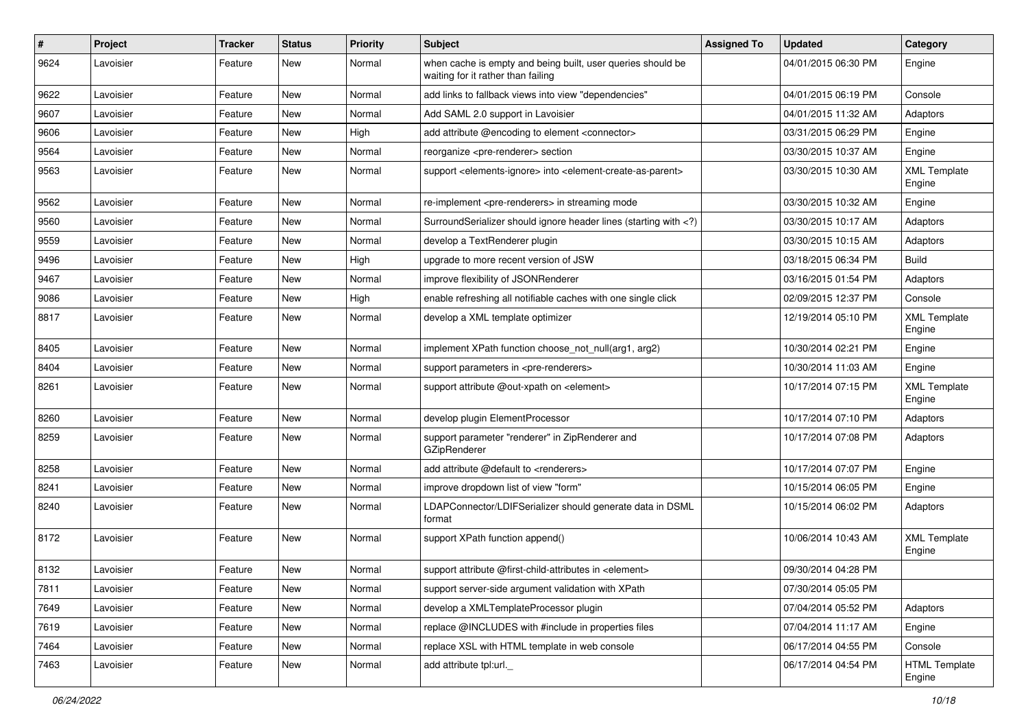| $\vert$ # | <b>Project</b> | <b>Tracker</b> | <b>Status</b> | <b>Priority</b> | Subject                                                                                                                     | <b>Assigned To</b> | <b>Updated</b>      | Category                       |
|-----------|----------------|----------------|---------------|-----------------|-----------------------------------------------------------------------------------------------------------------------------|--------------------|---------------------|--------------------------------|
| 9624      | Lavoisier      | Feature        | New           | Normal          | when cache is empty and being built, user queries should be<br>waiting for it rather than failing                           |                    | 04/01/2015 06:30 PM | Engine                         |
| 9622      | Lavoisier      | Feature        | New           | Normal          | add links to fallback views into view "dependencies"                                                                        |                    | 04/01/2015 06:19 PM | Console                        |
| 9607      | Lavoisier      | Feature        | New           | Normal          | Add SAML 2.0 support in Lavoisier                                                                                           |                    | 04/01/2015 11:32 AM | Adaptors                       |
| 9606      | Lavoisier      | Feature        | <b>New</b>    | High            | add attribute @encoding to element <connector></connector>                                                                  |                    | 03/31/2015 06:29 PM | Engine                         |
| 9564      | Lavoisier      | Feature        | New           | Normal          | reorganize <pre-renderer> section</pre-renderer>                                                                            |                    | 03/30/2015 10:37 AM | Engine                         |
| 9563      | Lavoisier      | Feature        | New           | Normal          | support <elements-ignore> into <element-create-as-parent></element-create-as-parent></elements-ignore>                      |                    | 03/30/2015 10:30 AM | <b>XML Template</b><br>Engine  |
| 9562      | Lavoisier      | Feature        | <b>New</b>    | Normal          | re-implement <pre-renderers> in streaming mode</pre-renderers>                                                              |                    | 03/30/2015 10:32 AM | Engine                         |
| 9560      | Lavoisier      | Feature        | <b>New</b>    | Normal          | SurroundSerializer should ignore header lines (starting with )</td <td></td> <td>03/30/2015 10:17 AM</td> <td>Adaptors</td> |                    | 03/30/2015 10:17 AM | Adaptors                       |
| 9559      | Lavoisier      | Feature        | <b>New</b>    | Normal          | develop a TextRenderer plugin                                                                                               |                    | 03/30/2015 10:15 AM | Adaptors                       |
| 9496      | Lavoisier      | Feature        | <b>New</b>    | High            | upgrade to more recent version of JSW                                                                                       |                    | 03/18/2015 06:34 PM | <b>Build</b>                   |
| 9467      | Lavoisier      | Feature        | <b>New</b>    | Normal          | improve flexibility of JSONRenderer                                                                                         |                    | 03/16/2015 01:54 PM | Adaptors                       |
| 9086      | Lavoisier      | Feature        | <b>New</b>    | High            | enable refreshing all notifiable caches with one single click                                                               |                    | 02/09/2015 12:37 PM | Console                        |
| 8817      | Lavoisier      | Feature        | <b>New</b>    | Normal          | develop a XML template optimizer                                                                                            |                    | 12/19/2014 05:10 PM | <b>XML Template</b><br>Engine  |
| 8405      | Lavoisier      | Feature        | <b>New</b>    | Normal          | implement XPath function choose_not_null(arg1, arg2)                                                                        |                    | 10/30/2014 02:21 PM | Engine                         |
| 8404      | Lavoisier      | Feature        | <b>New</b>    | Normal          | support parameters in <pre-renderers></pre-renderers>                                                                       |                    | 10/30/2014 11:03 AM | Engine                         |
| 8261      | Lavoisier      | Feature        | New           | Normal          | support attribute @out-xpath on <element></element>                                                                         |                    | 10/17/2014 07:15 PM | <b>XML Template</b><br>Engine  |
| 8260      | Lavoisier      | Feature        | <b>New</b>    | Normal          | develop plugin ElementProcessor                                                                                             |                    | 10/17/2014 07:10 PM | Adaptors                       |
| 8259      | Lavoisier      | Feature        | <b>New</b>    | Normal          | support parameter "renderer" in ZipRenderer and<br>GZipRenderer                                                             |                    | 10/17/2014 07:08 PM | Adaptors                       |
| 8258      | Lavoisier      | Feature        | <b>New</b>    | Normal          | add attribute @default to <renderers></renderers>                                                                           |                    | 10/17/2014 07:07 PM | Engine                         |
| 8241      | Lavoisier      | Feature        | New           | Normal          | improve dropdown list of view "form"                                                                                        |                    | 10/15/2014 06:05 PM | Engine                         |
| 8240      | Lavoisier      | Feature        | <b>New</b>    | Normal          | LDAPConnector/LDIFSerializer should generate data in DSML<br>format                                                         |                    | 10/15/2014 06:02 PM | Adaptors                       |
| 8172      | Lavoisier      | Feature        | New           | Normal          | support XPath function append()                                                                                             |                    | 10/06/2014 10:43 AM | <b>XML Template</b><br>Engine  |
| 8132      | Lavoisier      | Feature        | <b>New</b>    | Normal          | support attribute @first-child-attributes in <element></element>                                                            |                    | 09/30/2014 04:28 PM |                                |
| 7811      | Lavoisier      | Feature        | New           | Normal          | support server-side argument validation with XPath                                                                          |                    | 07/30/2014 05:05 PM |                                |
| 7649      | Lavoisier      | Feature        | New           | Normal          | develop a XMLTemplateProcessor plugin                                                                                       |                    | 07/04/2014 05:52 PM | Adaptors                       |
| 7619      | Lavoisier      | Feature        | New           | Normal          | replace @INCLUDES with #include in properties files                                                                         |                    | 07/04/2014 11:17 AM | Engine                         |
| 7464      | Lavoisier      | Feature        | New           | Normal          | replace XSL with HTML template in web console                                                                               |                    | 06/17/2014 04:55 PM | Console                        |
| 7463      | Lavoisier      | Feature        | New           | Normal          | add attribute tpl:url._                                                                                                     |                    | 06/17/2014 04:54 PM | <b>HTML Template</b><br>Engine |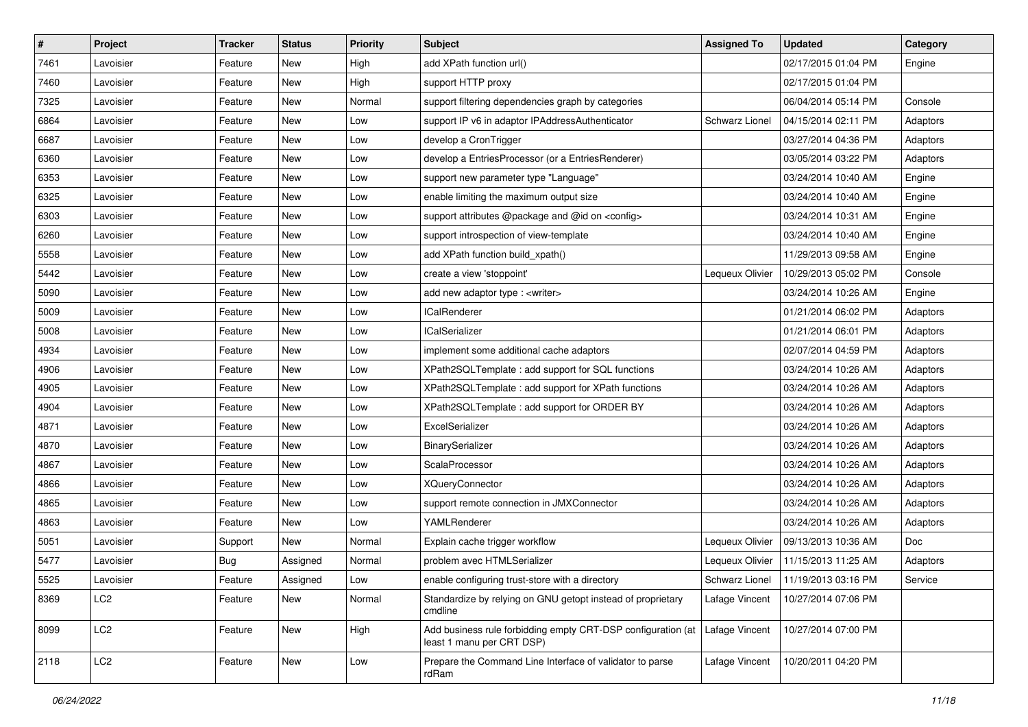| $\sharp$ | Project         | <b>Tracker</b> | <b>Status</b> | <b>Priority</b> | <b>Subject</b>                                                                            | <b>Assigned To</b> | <b>Updated</b>                       | Category |
|----------|-----------------|----------------|---------------|-----------------|-------------------------------------------------------------------------------------------|--------------------|--------------------------------------|----------|
| 7461     | Lavoisier       | Feature        | New           | High            | add XPath function url()                                                                  |                    | 02/17/2015 01:04 PM                  | Engine   |
| 7460     | Lavoisier       | Feature        | New           | High            | support HTTP proxy                                                                        |                    | 02/17/2015 01:04 PM                  |          |
| 7325     | Lavoisier       | Feature        | New           | Normal          | support filtering dependencies graph by categories                                        |                    | 06/04/2014 05:14 PM                  | Console  |
| 6864     | Lavoisier       | Feature        | New           | Low             | support IP v6 in adaptor IPAddressAuthenticator                                           | Schwarz Lionel     | 04/15/2014 02:11 PM                  | Adaptors |
| 6687     | Lavoisier       | Feature        | New           | Low             | develop a CronTrigger                                                                     |                    | 03/27/2014 04:36 PM                  | Adaptors |
| 6360     | Lavoisier       | Feature        | New           | Low             | develop a EntriesProcessor (or a EntriesRenderer)                                         |                    | 03/05/2014 03:22 PM                  | Adaptors |
| 6353     | Lavoisier       | Feature        | New           | LOW             | support new parameter type "Language"                                                     |                    | 03/24/2014 10:40 AM                  | Engine   |
| 6325     | Lavoisier       | Feature        | New           | Low             | enable limiting the maximum output size                                                   |                    | 03/24/2014 10:40 AM                  | Engine   |
| 6303     | Lavoisier       | Feature        | New           | Low             | support attributes @package and @id on <config></config>                                  |                    | 03/24/2014 10:31 AM                  | Engine   |
| 6260     | Lavoisier       | Feature        | New           | Low             | support introspection of view-template                                                    |                    | 03/24/2014 10:40 AM                  | Engine   |
| 5558     | Lavoisier       | Feature        | New           | Low             | add XPath function build xpath()                                                          |                    | 11/29/2013 09:58 AM                  | Engine   |
| 5442     | Lavoisier       | Feature        | New           | Low             | create a view 'stoppoint'                                                                 | Lequeux Olivier    | 10/29/2013 05:02 PM                  | Console  |
| 5090     | Lavoisier       | Feature        | New           | Low             | add new adaptor type : <writer></writer>                                                  |                    | 03/24/2014 10:26 AM                  | Engine   |
| 5009     | Lavoisier       | Feature        | New           | Low             | <b>ICalRenderer</b>                                                                       |                    | 01/21/2014 06:02 PM                  | Adaptors |
| 5008     | Lavoisier       | Feature        | New           | Low             | <b>ICalSerializer</b>                                                                     |                    | 01/21/2014 06:01 PM                  | Adaptors |
| 4934     | Lavoisier       | Feature        | New           | LOW             | implement some additional cache adaptors                                                  |                    | 02/07/2014 04:59 PM                  | Adaptors |
| 4906     | Lavoisier       | Feature        | New           | Low             | XPath2SQLTemplate : add support for SQL functions                                         |                    | 03/24/2014 10:26 AM                  | Adaptors |
| 4905     | Lavoisier       | Feature        | New           | Low             | XPath2SQLTemplate : add support for XPath functions                                       |                    | 03/24/2014 10:26 AM                  | Adaptors |
| 4904     | Lavoisier       | Feature        | New           | Low             | XPath2SQLTemplate : add support for ORDER BY                                              |                    | 03/24/2014 10:26 AM                  | Adaptors |
| 4871     | Lavoisier       | Feature        | New           | Low             | ExcelSerializer                                                                           |                    | 03/24/2014 10:26 AM                  | Adaptors |
| 4870     | Lavoisier       | Feature        | New           | Low             | BinarySerializer                                                                          |                    | 03/24/2014 10:26 AM                  | Adaptors |
| 4867     | Lavoisier       | Feature        | New           | LOW             | ScalaProcessor                                                                            |                    | 03/24/2014 10:26 AM                  | Adaptors |
| 4866     | Lavoisier       | Feature        | New           | Low             | <b>XQueryConnector</b>                                                                    |                    | 03/24/2014 10:26 AM                  | Adaptors |
| 4865     | Lavoisier       | Feature        | New           | LOW             | support remote connection in JMXConnector                                                 |                    | 03/24/2014 10:26 AM                  | Adaptors |
| 4863     | Lavoisier       | Feature        | New           | LOW             | YAMLRenderer                                                                              |                    | 03/24/2014 10:26 AM                  | Adaptors |
| 5051     | Lavoisier       | Support        | New           | Normal          | Explain cache trigger workflow                                                            | Lequeux Olivier    | 09/13/2013 10:36 AM                  | Doc      |
| 5477     | Lavoisier       | <b>Bug</b>     | Assigned      | Normal          | problem avec HTMLSerializer                                                               | Lequeux Olivier    | 11/15/2013 11:25 AM                  | Adaptors |
| 5525     | Lavoisier       | Feature        | Assigned      | LOW             | enable configuring trust-store with a directory                                           |                    | Schwarz Lionel   11/19/2013 03:16 PM | Service  |
| 8369     | LC <sub>2</sub> | Feature        | New           | Normal          | Standardize by relying on GNU getopt instead of proprietary<br>cmdline                    | Lafage Vincent     | 10/27/2014 07:06 PM                  |          |
| 8099     | LC <sub>2</sub> | Feature        | New           | High            | Add business rule forbidding empty CRT-DSP configuration (at<br>least 1 manu per CRT DSP) | Lafage Vincent     | 10/27/2014 07:00 PM                  |          |
| 2118     | LC <sub>2</sub> | Feature        | New           | Low             | Prepare the Command Line Interface of validator to parse<br>rdRam                         | Lafage Vincent     | 10/20/2011 04:20 PM                  |          |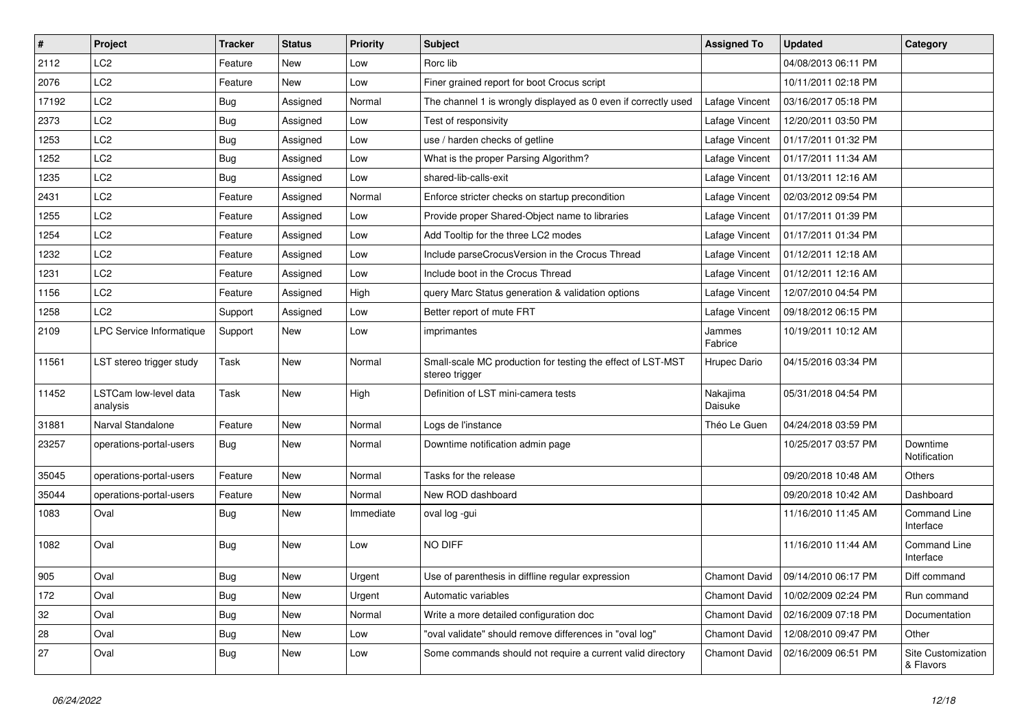| $\vert$ # | Project                           | <b>Tracker</b> | <b>Status</b> | <b>Priority</b> | <b>Subject</b>                                                                | <b>Assigned To</b>   | <b>Updated</b>      | Category                         |
|-----------|-----------------------------------|----------------|---------------|-----------------|-------------------------------------------------------------------------------|----------------------|---------------------|----------------------------------|
| 2112      | LC <sub>2</sub>                   | Feature        | New           | Low             | Rorc lib                                                                      |                      | 04/08/2013 06:11 PM |                                  |
| 2076      | LC <sub>2</sub>                   | Feature        | <b>New</b>    | Low             | Finer grained report for boot Crocus script                                   |                      | 10/11/2011 02:18 PM |                                  |
| 17192     | LC2                               | <b>Bug</b>     | Assigned      | Normal          | The channel 1 is wrongly displayed as 0 even if correctly used                | Lafage Vincent       | 03/16/2017 05:18 PM |                                  |
| 2373      | LC <sub>2</sub>                   | Bug            | Assigned      | Low             | Test of responsivity                                                          | Lafage Vincent       | 12/20/2011 03:50 PM |                                  |
| 1253      | LC <sub>2</sub>                   | Bug            | Assigned      | Low             | use / harden checks of getline                                                | Lafage Vincent       | 01/17/2011 01:32 PM |                                  |
| 1252      | LC <sub>2</sub>                   | Bug            | Assigned      | Low             | What is the proper Parsing Algorithm?                                         | Lafage Vincent       | 01/17/2011 11:34 AM |                                  |
| 1235      | LC <sub>2</sub>                   | Bug            | Assigned      | Low             | shared-lib-calls-exit                                                         | Lafage Vincent       | 01/13/2011 12:16 AM |                                  |
| 2431      | LC <sub>2</sub>                   | Feature        | Assigned      | Normal          | Enforce stricter checks on startup precondition                               | Lafage Vincent       | 02/03/2012 09:54 PM |                                  |
| 1255      | LC <sub>2</sub>                   | Feature        | Assigned      | Low             | Provide proper Shared-Object name to libraries                                | Lafage Vincent       | 01/17/2011 01:39 PM |                                  |
| 1254      | LC <sub>2</sub>                   | Feature        | Assigned      | Low             | Add Tooltip for the three LC2 modes                                           | Lafage Vincent       | 01/17/2011 01:34 PM |                                  |
| 1232      | LC <sub>2</sub>                   | Feature        | Assigned      | Low             | Include parseCrocusVersion in the Crocus Thread                               | Lafage Vincent       | 01/12/2011 12:18 AM |                                  |
| 1231      | LC <sub>2</sub>                   | Feature        | Assigned      | Low             | Include boot in the Crocus Thread                                             | Lafage Vincent       | 01/12/2011 12:16 AM |                                  |
| 1156      | LC <sub>2</sub>                   | Feature        | Assigned      | High            | query Marc Status generation & validation options                             | Lafage Vincent       | 12/07/2010 04:54 PM |                                  |
| 1258      | LC <sub>2</sub>                   | Support        | Assigned      | Low             | Better report of mute FRT                                                     | Lafage Vincent       | 09/18/2012 06:15 PM |                                  |
| 2109      | <b>LPC Service Informatique</b>   | Support        | New           | Low             | imprimantes                                                                   | Jammes<br>Fabrice    | 10/19/2011 10:12 AM |                                  |
| 11561     | LST stereo trigger study          | Task           | New           | Normal          | Small-scale MC production for testing the effect of LST-MST<br>stereo trigger | Hrupec Dario         | 04/15/2016 03:34 PM |                                  |
| 11452     | LSTCam low-level data<br>analysis | Task           | <b>New</b>    | High            | Definition of LST mini-camera tests                                           | Nakajima<br>Daisuke  | 05/31/2018 04:54 PM |                                  |
| 31881     | Narval Standalone                 | Feature        | <b>New</b>    | Normal          | Logs de l'instance                                                            | Théo Le Guen         | 04/24/2018 03:59 PM |                                  |
| 23257     | operations-portal-users           | <b>Bug</b>     | <b>New</b>    | Normal          | Downtime notification admin page                                              |                      | 10/25/2017 03:57 PM | Downtime<br>Notification         |
| 35045     | operations-portal-users           | Feature        | New           | Normal          | Tasks for the release                                                         |                      | 09/20/2018 10:48 AM | <b>Others</b>                    |
| 35044     | operations-portal-users           | Feature        | <b>New</b>    | Normal          | New ROD dashboard                                                             |                      | 09/20/2018 10:42 AM | Dashboard                        |
| 1083      | Oval                              | <b>Bug</b>     | <b>New</b>    | Immediate       | oval log -gui                                                                 |                      | 11/16/2010 11:45 AM | <b>Command Line</b><br>Interface |
| 1082      | Oval                              | <b>Bug</b>     | New           | Low             | NO DIFF                                                                       |                      | 11/16/2010 11:44 AM | <b>Command Line</b><br>Interface |
| 905       | Oval                              | Bug            | New           | Urgent          | Use of parenthesis in diffline regular expression                             | <b>Chamont David</b> | 09/14/2010 06:17 PM | Diff command                     |
| 172       | Oval                              | Bug            | New           | Urgent          | Automatic variables                                                           | Chamont David        | 10/02/2009 02:24 PM | Run command                      |
| 32        | Oval                              | <b>Bug</b>     | New           | Normal          | Write a more detailed configuration doc                                       | Chamont David        | 02/16/2009 07:18 PM | Documentation                    |
| 28        | Oval                              | <b>Bug</b>     | New           | Low             | "oval validate" should remove differences in "oval log"                       | <b>Chamont David</b> | 12/08/2010 09:47 PM | Other                            |
| 27        | Oval                              | <b>Bug</b>     | New           | Low             | Some commands should not require a current valid directory                    | Chamont David        | 02/16/2009 06:51 PM | Site Customization<br>& Flavors  |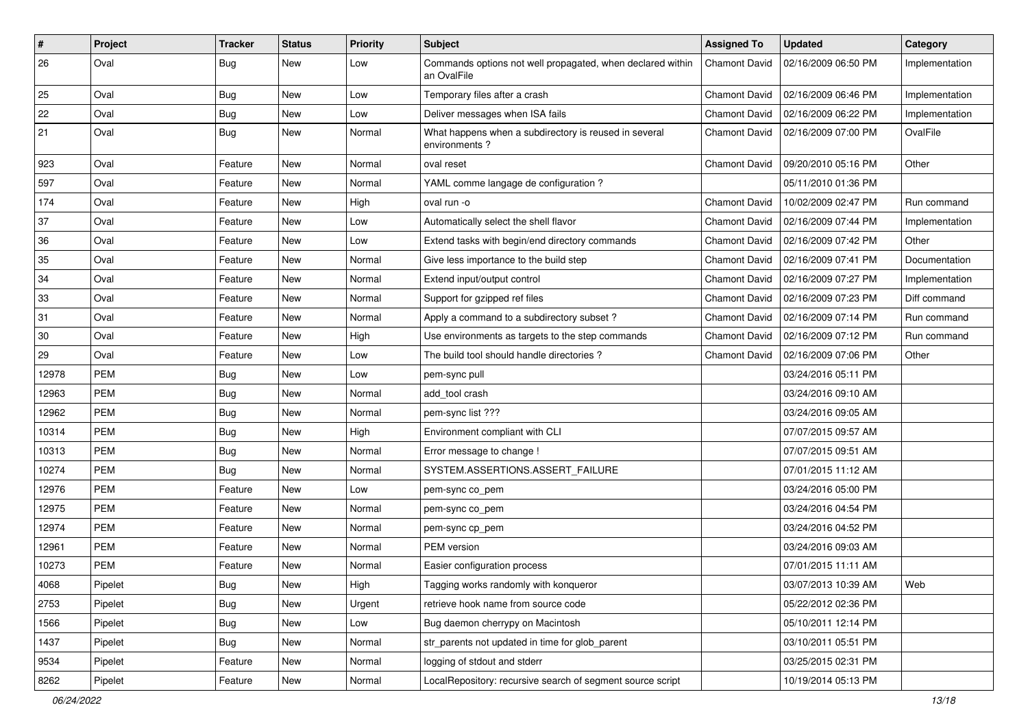| #     | Project    | <b>Tracker</b> | <b>Status</b> | <b>Priority</b> | Subject                                                                   | <b>Assigned To</b>   | <b>Updated</b>      | Category       |
|-------|------------|----------------|---------------|-----------------|---------------------------------------------------------------------------|----------------------|---------------------|----------------|
| 26    | Oval       | <b>Bug</b>     | New           | Low             | Commands options not well propagated, when declared within<br>an OvalFile | Chamont David        | 02/16/2009 06:50 PM | Implementation |
| 25    | Oval       | Bug            | New           | Low             | Temporary files after a crash                                             | Chamont David        | 02/16/2009 06:46 PM | Implementation |
| 22    | Oval       | Bug            | <b>New</b>    | Low             | Deliver messages when ISA fails                                           | Chamont David        | 02/16/2009 06:22 PM | Implementation |
| 21    | Oval       | <b>Bug</b>     | New           | Normal          | What happens when a subdirectory is reused in several<br>environments?    | Chamont David        | 02/16/2009 07:00 PM | OvalFile       |
| 923   | Oval       | Feature        | New           | Normal          | oval reset                                                                | <b>Chamont David</b> | 09/20/2010 05:16 PM | Other          |
| 597   | Oval       | Feature        | New           | Normal          | YAML comme langage de configuration?                                      |                      | 05/11/2010 01:36 PM |                |
| 174   | Oval       | Feature        | <b>New</b>    | High            | oval run -o                                                               | <b>Chamont David</b> | 10/02/2009 02:47 PM | Run command    |
| 37    | Oval       | Feature        | New           | Low             | Automatically select the shell flavor                                     | <b>Chamont David</b> | 02/16/2009 07:44 PM | Implementation |
| 36    | Oval       | Feature        | New           | Low             | Extend tasks with begin/end directory commands                            | Chamont David        | 02/16/2009 07:42 PM | Other          |
| 35    | Oval       | Feature        | <b>New</b>    | Normal          | Give less importance to the build step                                    | <b>Chamont David</b> | 02/16/2009 07:41 PM | Documentation  |
| 34    | Oval       | Feature        | New           | Normal          | Extend input/output control                                               | Chamont David        | 02/16/2009 07:27 PM | Implementation |
| 33    | Oval       | Feature        | <b>New</b>    | Normal          | Support for gzipped ref files                                             | <b>Chamont David</b> | 02/16/2009 07:23 PM | Diff command   |
| 31    | Oval       | Feature        | <b>New</b>    | Normal          | Apply a command to a subdirectory subset?                                 | <b>Chamont David</b> | 02/16/2009 07:14 PM | Run command    |
| 30    | Oval       | Feature        | New           | High            | Use environments as targets to the step commands                          | Chamont David        | 02/16/2009 07:12 PM | Run command    |
| 29    | Oval       | Feature        | New           | Low             | The build tool should handle directories?                                 | Chamont David        | 02/16/2009 07:06 PM | Other          |
| 12978 | <b>PEM</b> | Bug            | <b>New</b>    | Low             | pem-sync pull                                                             |                      | 03/24/2016 05:11 PM |                |
| 12963 | <b>PEM</b> | Bug            | <b>New</b>    | Normal          | add_tool crash                                                            |                      | 03/24/2016 09:10 AM |                |
| 12962 | <b>PEM</b> | <b>Bug</b>     | <b>New</b>    | Normal          | pem-sync list ???                                                         |                      | 03/24/2016 09:05 AM |                |
| 10314 | <b>PEM</b> | Bug            | New           | High            | Environment compliant with CLI                                            |                      | 07/07/2015 09:57 AM |                |
| 10313 | <b>PEM</b> | <b>Bug</b>     | <b>New</b>    | Normal          | Error message to change !                                                 |                      | 07/07/2015 09:51 AM |                |
| 10274 | <b>PEM</b> | <b>Bug</b>     | New           | Normal          | SYSTEM.ASSERTIONS.ASSERT_FAILURE                                          |                      | 07/01/2015 11:12 AM |                |
| 12976 | <b>PEM</b> | Feature        | <b>New</b>    | Low             | pem-sync co_pem                                                           |                      | 03/24/2016 05:00 PM |                |
| 12975 | <b>PEM</b> | Feature        | <b>New</b>    | Normal          | pem-sync co pem                                                           |                      | 03/24/2016 04:54 PM |                |
| 12974 | <b>PEM</b> | Feature        | New           | Normal          | pem-sync cp_pem                                                           |                      | 03/24/2016 04:52 PM |                |
| 12961 | <b>PEM</b> | Feature        | <b>New</b>    | Normal          | PEM version                                                               |                      | 03/24/2016 09:03 AM |                |
| 10273 | <b>PEM</b> | Feature        | <b>New</b>    | Normal          | Easier configuration process                                              |                      | 07/01/2015 11:11 AM |                |
| 4068  | Pipelet    | Bug            | New           | High            | Tagging works randomly with konqueror                                     |                      | 03/07/2013 10:39 AM | Web            |
| 2753  | Pipelet    | <b>Bug</b>     | New           | Urgent          | retrieve hook name from source code                                       |                      | 05/22/2012 02:36 PM |                |
| 1566  | Pipelet    | Bug            | New           | Low             | Bug daemon cherrypy on Macintosh                                          |                      | 05/10/2011 12:14 PM |                |
| 1437  | Pipelet    | Bug            | New           | Normal          | str_parents not updated in time for glob_parent                           |                      | 03/10/2011 05:51 PM |                |
| 9534  | Pipelet    | Feature        | New           | Normal          | logging of stdout and stderr                                              |                      | 03/25/2015 02:31 PM |                |
| 8262  | Pipelet    | Feature        | New           | Normal          | LocalRepository: recursive search of segment source script                |                      | 10/19/2014 05:13 PM |                |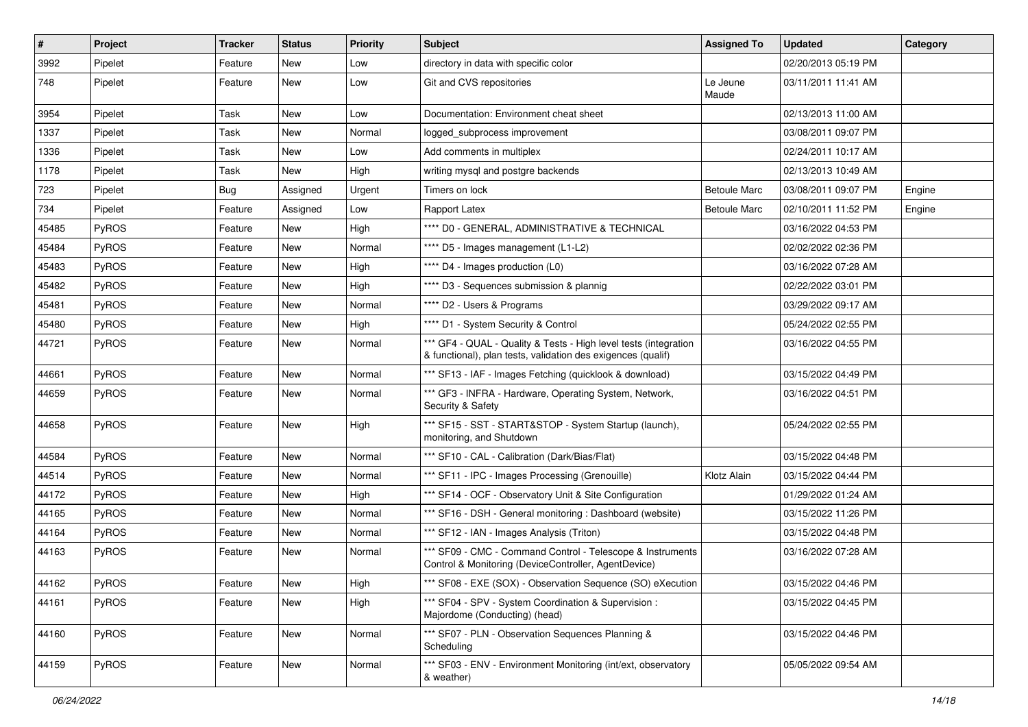| $\sharp$ | Project | <b>Tracker</b> | <b>Status</b> | <b>Priority</b> | <b>Subject</b>                                                                                                                   | <b>Assigned To</b>  | <b>Updated</b>      | Category |
|----------|---------|----------------|---------------|-----------------|----------------------------------------------------------------------------------------------------------------------------------|---------------------|---------------------|----------|
| 3992     | Pipelet | Feature        | New           | Low             | directory in data with specific color                                                                                            |                     | 02/20/2013 05:19 PM |          |
| 748      | Pipelet | Feature        | New           | Low             | Git and CVS repositories                                                                                                         | Le Jeune<br>Maude   | 03/11/2011 11:41 AM |          |
| 3954     | Pipelet | Task           | New           | Low             | Documentation: Environment cheat sheet                                                                                           |                     | 02/13/2013 11:00 AM |          |
| 1337     | Pipelet | Task           | <b>New</b>    | Normal          | logged_subprocess improvement                                                                                                    |                     | 03/08/2011 09:07 PM |          |
| 1336     | Pipelet | Task           | New           | Low             | Add comments in multiplex                                                                                                        |                     | 02/24/2011 10:17 AM |          |
| 1178     | Pipelet | Task           | New           | High            | writing mysgl and postgre backends                                                                                               |                     | 02/13/2013 10:49 AM |          |
| 723      | Pipelet | <b>Bug</b>     | Assigned      | Urgent          | Timers on lock                                                                                                                   | <b>Betoule Marc</b> | 03/08/2011 09:07 PM | Engine   |
| 734      | Pipelet | Feature        | Assigned      | Low             | Rapport Latex                                                                                                                    | Betoule Marc        | 02/10/2011 11:52 PM | Engine   |
| 45485    | PyROS   | Feature        | New           | High            | **** D0 - GENERAL, ADMINISTRATIVE & TECHNICAL                                                                                    |                     | 03/16/2022 04:53 PM |          |
| 45484    | PyROS   | Feature        | New           | Normal          | **** D5 - Images management (L1-L2)                                                                                              |                     | 02/02/2022 02:36 PM |          |
| 45483    | PyROS   | Feature        | New           | High            | **** D4 - Images production (L0)                                                                                                 |                     | 03/16/2022 07:28 AM |          |
| 45482    | PyROS   | Feature        | New           | High            | **** D3 - Sequences submission & plannig                                                                                         |                     | 02/22/2022 03:01 PM |          |
| 45481    | PyROS   | Feature        | <b>New</b>    | Normal          | **** D2 - Users & Programs                                                                                                       |                     | 03/29/2022 09:17 AM |          |
| 45480    | PyROS   | Feature        | New           | High            | **** D1 - System Security & Control                                                                                              |                     | 05/24/2022 02:55 PM |          |
| 44721    | PyROS   | Feature        | New           | Normal          | *** GF4 - QUAL - Quality & Tests - High level tests (integration<br>& functional), plan tests, validation des exigences (qualif) |                     | 03/16/2022 04:55 PM |          |
| 44661    | PyROS   | Feature        | <b>New</b>    | Normal          | *** SF13 - IAF - Images Fetching (quicklook & download)                                                                          |                     | 03/15/2022 04:49 PM |          |
| 44659    | PyROS   | Feature        | New           | Normal          | *** GF3 - INFRA - Hardware, Operating System, Network,<br>Security & Safety                                                      |                     | 03/16/2022 04:51 PM |          |
| 44658    | PyROS   | Feature        | New           | High            | *** SF15 - SST - START&STOP - System Startup (launch),<br>monitoring, and Shutdown                                               |                     | 05/24/2022 02:55 PM |          |
| 44584    | PyROS   | Feature        | <b>New</b>    | Normal          | *** SF10 - CAL - Calibration (Dark/Bias/Flat)                                                                                    |                     | 03/15/2022 04:48 PM |          |
| 44514    | PyROS   | Feature        | New           | Normal          | *** SF11 - IPC - Images Processing (Grenouille)                                                                                  | Klotz Alain         | 03/15/2022 04:44 PM |          |
| 44172    | PyROS   | Feature        | New           | High            | *** SF14 - OCF - Observatory Unit & Site Configuration                                                                           |                     | 01/29/2022 01:24 AM |          |
| 44165    | PyROS   | Feature        | <b>New</b>    | Normal          | *** SF16 - DSH - General monitoring : Dashboard (website)                                                                        |                     | 03/15/2022 11:26 PM |          |
| 44164    | PyROS   | Feature        | New           | Normal          | *** SF12 - IAN - Images Analysis (Triton)                                                                                        |                     | 03/15/2022 04:48 PM |          |
| 44163    | PyROS   | Feature        | New           | Normal          | *** SF09 - CMC - Command Control - Telescope & Instruments<br>Control & Monitoring (DeviceController, AgentDevice)               |                     | 03/16/2022 07:28 AM |          |
| 44162    | PyROS   | Feature        | New           | High            | *** SF08 - EXE (SOX) - Observation Sequence (SO) eXecution                                                                       |                     | 03/15/2022 04:46 PM |          |
| 44161    | PyROS   | Feature        | New           | High            | *** SF04 - SPV - System Coordination & Supervision :<br>Majordome (Conducting) (head)                                            |                     | 03/15/2022 04:45 PM |          |
| 44160    | PyROS   | Feature        | New           | Normal          | *** SF07 - PLN - Observation Sequences Planning &<br>Scheduling                                                                  |                     | 03/15/2022 04:46 PM |          |
| 44159    | PyROS   | Feature        | New           | Normal          | *** SF03 - ENV - Environment Monitoring (int/ext, observatory<br>& weather)                                                      |                     | 05/05/2022 09:54 AM |          |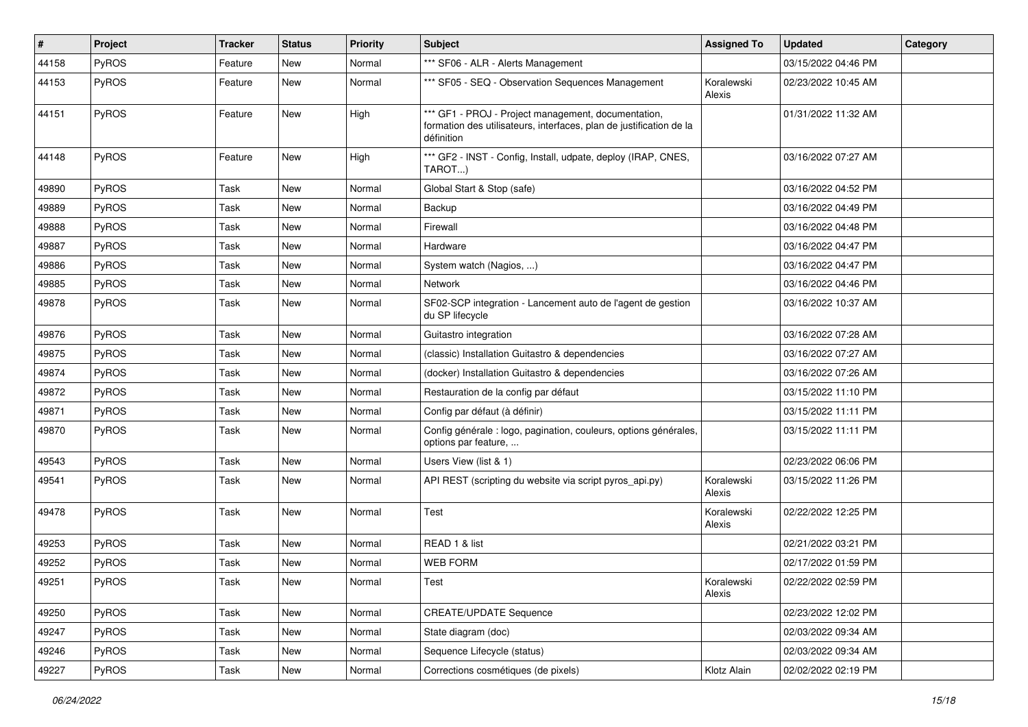| #     | Project      | <b>Tracker</b> | <b>Status</b> | <b>Priority</b> | <b>Subject</b>                                                                                                                           | <b>Assigned To</b>   | <b>Updated</b>      | Category |
|-------|--------------|----------------|---------------|-----------------|------------------------------------------------------------------------------------------------------------------------------------------|----------------------|---------------------|----------|
| 44158 | <b>PyROS</b> | Feature        | <b>New</b>    | Normal          | *** SF06 - ALR - Alerts Management                                                                                                       |                      | 03/15/2022 04:46 PM |          |
| 44153 | PyROS        | Feature        | <b>New</b>    | Normal          | *** SF05 - SEQ - Observation Sequences Management                                                                                        | Koralewski<br>Alexis | 02/23/2022 10:45 AM |          |
| 44151 | PyROS        | Feature        | <b>New</b>    | High            | *** GF1 - PROJ - Project management, documentation,<br>formation des utilisateurs, interfaces, plan de justification de la<br>définition |                      | 01/31/2022 11:32 AM |          |
| 44148 | <b>PyROS</b> | Feature        | <b>New</b>    | High            | *** GF2 - INST - Config, Install, udpate, deploy (IRAP, CNES,<br>TAROT)                                                                  |                      | 03/16/2022 07:27 AM |          |
| 49890 | <b>PyROS</b> | Task           | <b>New</b>    | Normal          | Global Start & Stop (safe)                                                                                                               |                      | 03/16/2022 04:52 PM |          |
| 49889 | PyROS        | Task           | <b>New</b>    | Normal          | Backup                                                                                                                                   |                      | 03/16/2022 04:49 PM |          |
| 49888 | <b>PyROS</b> | Task           | New           | Normal          | Firewall                                                                                                                                 |                      | 03/16/2022 04:48 PM |          |
| 49887 | <b>PyROS</b> | Task           | <b>New</b>    | Normal          | Hardware                                                                                                                                 |                      | 03/16/2022 04:47 PM |          |
| 49886 | PyROS        | Task           | <b>New</b>    | Normal          | System watch (Nagios, )                                                                                                                  |                      | 03/16/2022 04:47 PM |          |
| 49885 | PyROS        | Task           | <b>New</b>    | Normal          | Network                                                                                                                                  |                      | 03/16/2022 04:46 PM |          |
| 49878 | <b>PyROS</b> | Task           | <b>New</b>    | Normal          | SF02-SCP integration - Lancement auto de l'agent de gestion<br>du SP lifecycle                                                           |                      | 03/16/2022 10:37 AM |          |
| 49876 | PyROS        | Task           | <b>New</b>    | Normal          | Guitastro integration                                                                                                                    |                      | 03/16/2022 07:28 AM |          |
| 49875 | PyROS        | Task           | <b>New</b>    | Normal          | (classic) Installation Guitastro & dependencies                                                                                          |                      | 03/16/2022 07:27 AM |          |
| 49874 | <b>PyROS</b> | Task           | New           | Normal          | (docker) Installation Guitastro & dependencies                                                                                           |                      | 03/16/2022 07:26 AM |          |
| 49872 | <b>PyROS</b> | Task           | <b>New</b>    | Normal          | Restauration de la config par défaut                                                                                                     |                      | 03/15/2022 11:10 PM |          |
| 49871 | <b>PyROS</b> | Task           | <b>New</b>    | Normal          | Config par défaut (à définir)                                                                                                            |                      | 03/15/2022 11:11 PM |          |
| 49870 | <b>PyROS</b> | Task           | <b>New</b>    | Normal          | Config générale : logo, pagination, couleurs, options générales,<br>options par feature,                                                 |                      | 03/15/2022 11:11 PM |          |
| 49543 | <b>PyROS</b> | Task           | New           | Normal          | Users View (list & 1)                                                                                                                    |                      | 02/23/2022 06:06 PM |          |
| 49541 | <b>PyROS</b> | Task           | <b>New</b>    | Normal          | API REST (scripting du website via script pyros_api.py)                                                                                  | Koralewski<br>Alexis | 03/15/2022 11:26 PM |          |
| 49478 | <b>PyROS</b> | Task           | New           | Normal          | Test                                                                                                                                     | Koralewski<br>Alexis | 02/22/2022 12:25 PM |          |
| 49253 | PyROS        | Task           | <b>New</b>    | Normal          | READ 1 & list                                                                                                                            |                      | 02/21/2022 03:21 PM |          |
| 49252 | <b>PyROS</b> | Task           | <b>New</b>    | Normal          | WEB FORM                                                                                                                                 |                      | 02/17/2022 01:59 PM |          |
| 49251 | PyROS        | Task           | New           | Normal          | Test                                                                                                                                     | Koralewski<br>Alexis | 02/22/2022 02:59 PM |          |
| 49250 | PyROS        | Task           | New           | Normal          | <b>CREATE/UPDATE Sequence</b>                                                                                                            |                      | 02/23/2022 12:02 PM |          |
| 49247 | PyROS        | Task           | New           | Normal          | State diagram (doc)                                                                                                                      |                      | 02/03/2022 09:34 AM |          |
| 49246 | PyROS        | Task           | New           | Normal          | Sequence Lifecycle (status)                                                                                                              |                      | 02/03/2022 09:34 AM |          |
| 49227 | PyROS        | Task           | New           | Normal          | Corrections cosmétiques (de pixels)                                                                                                      | Klotz Alain          | 02/02/2022 02:19 PM |          |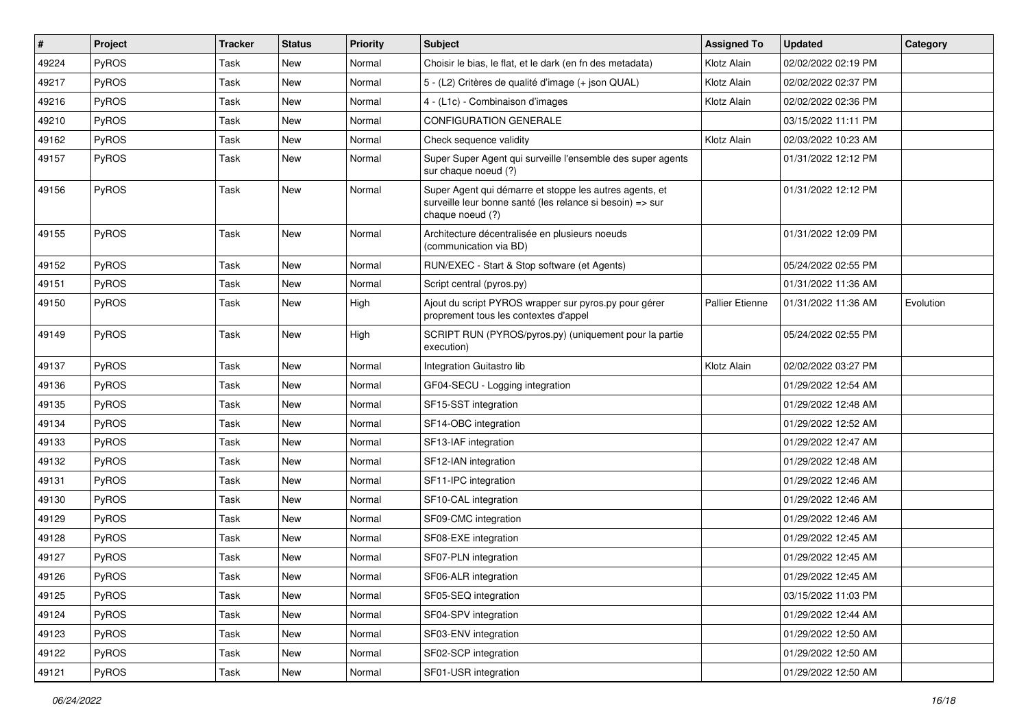| $\vert$ # | Project      | <b>Tracker</b> | <b>Status</b> | <b>Priority</b> | <b>Subject</b>                                                                                                                           | <b>Assigned To</b> | <b>Updated</b>      | Category  |
|-----------|--------------|----------------|---------------|-----------------|------------------------------------------------------------------------------------------------------------------------------------------|--------------------|---------------------|-----------|
| 49224     | PyROS        | Task           | New           | Normal          | Choisir le bias, le flat, et le dark (en fn des metadata)                                                                                | Klotz Alain        | 02/02/2022 02:19 PM |           |
| 49217     | PyROS        | Task           | <b>New</b>    | Normal          | 5 - (L2) Critères de qualité d'image (+ json QUAL)                                                                                       | Klotz Alain        | 02/02/2022 02:37 PM |           |
| 49216     | PyROS        | Task           | <b>New</b>    | Normal          | 4 - (L1c) - Combinaison d'images                                                                                                         | Klotz Alain        | 02/02/2022 02:36 PM |           |
| 49210     | PyROS        | Task           | New           | Normal          | <b>CONFIGURATION GENERALE</b>                                                                                                            |                    | 03/15/2022 11:11 PM |           |
| 49162     | PyROS        | Task           | <b>New</b>    | Normal          | Check sequence validity                                                                                                                  | Klotz Alain        | 02/03/2022 10:23 AM |           |
| 49157     | PyROS        | Task           | <b>New</b>    | Normal          | Super Super Agent qui surveille l'ensemble des super agents<br>sur chaque noeud (?)                                                      |                    | 01/31/2022 12:12 PM |           |
| 49156     | PyROS        | Task           | New           | Normal          | Super Agent qui démarre et stoppe les autres agents, et<br>surveille leur bonne santé (les relance si besoin) => sur<br>chaque noeud (?) |                    | 01/31/2022 12:12 PM |           |
| 49155     | PyROS        | Task           | <b>New</b>    | Normal          | Architecture décentralisée en plusieurs noeuds<br>(communication via BD)                                                                 |                    | 01/31/2022 12:09 PM |           |
| 49152     | PyROS        | Task           | <b>New</b>    | Normal          | RUN/EXEC - Start & Stop software (et Agents)                                                                                             |                    | 05/24/2022 02:55 PM |           |
| 49151     | <b>PyROS</b> | Task           | New           | Normal          | Script central (pyros.py)                                                                                                                |                    | 01/31/2022 11:36 AM |           |
| 49150     | PyROS        | Task           | New           | High            | Ajout du script PYROS wrapper sur pyros.py pour gérer<br>proprement tous les contextes d'appel                                           | Pallier Etienne    | 01/31/2022 11:36 AM | Evolution |
| 49149     | PyROS        | Task           | <b>New</b>    | High            | SCRIPT RUN (PYROS/pyros.py) (uniquement pour la partie<br>execution)                                                                     |                    | 05/24/2022 02:55 PM |           |
| 49137     | PyROS        | Task           | <b>New</b>    | Normal          | Integration Guitastro lib                                                                                                                | Klotz Alain        | 02/02/2022 03:27 PM |           |
| 49136     | PyROS        | Task           | <b>New</b>    | Normal          | GF04-SECU - Logging integration                                                                                                          |                    | 01/29/2022 12:54 AM |           |
| 49135     | PyROS        | Task           | <b>New</b>    | Normal          | SF15-SST integration                                                                                                                     |                    | 01/29/2022 12:48 AM |           |
| 49134     | <b>PyROS</b> | Task           | <b>New</b>    | Normal          | SF14-OBC integration                                                                                                                     |                    | 01/29/2022 12:52 AM |           |
| 49133     | PyROS        | Task           | <b>New</b>    | Normal          | SF13-IAF integration                                                                                                                     |                    | 01/29/2022 12:47 AM |           |
| 49132     | PyROS        | Task           | <b>New</b>    | Normal          | SF12-IAN integration                                                                                                                     |                    | 01/29/2022 12:48 AM |           |
| 49131     | <b>PyROS</b> | Task           | New           | Normal          | SF11-IPC integration                                                                                                                     |                    | 01/29/2022 12:46 AM |           |
| 49130     | PyROS        | Task           | <b>New</b>    | Normal          | SF10-CAL integration                                                                                                                     |                    | 01/29/2022 12:46 AM |           |
| 49129     | PyROS        | Task           | New           | Normal          | SF09-CMC integration                                                                                                                     |                    | 01/29/2022 12:46 AM |           |
| 49128     | PyROS        | Task           | New           | Normal          | SF08-EXE integration                                                                                                                     |                    | 01/29/2022 12:45 AM |           |
| 49127     | PyROS        | Task           | <b>New</b>    | Normal          | SF07-PLN integration                                                                                                                     |                    | 01/29/2022 12:45 AM |           |
| 49126     | <b>PyROS</b> | Task           | New           | Normal          | SF06-ALR integration                                                                                                                     |                    | 01/29/2022 12:45 AM |           |
| 49125     | PyROS        | Task           | New           | Normal          | SF05-SEQ integration                                                                                                                     |                    | 03/15/2022 11:03 PM |           |
| 49124     | PyROS        | Task           | New           | Normal          | SF04-SPV integration                                                                                                                     |                    | 01/29/2022 12:44 AM |           |
| 49123     | <b>PyROS</b> | Task           | New           | Normal          | SF03-ENV integration                                                                                                                     |                    | 01/29/2022 12:50 AM |           |
| 49122     | PyROS        | Task           | New           | Normal          | SF02-SCP integration                                                                                                                     |                    | 01/29/2022 12:50 AM |           |
| 49121     | PyROS        | Task           | New           | Normal          | SF01-USR integration                                                                                                                     |                    | 01/29/2022 12:50 AM |           |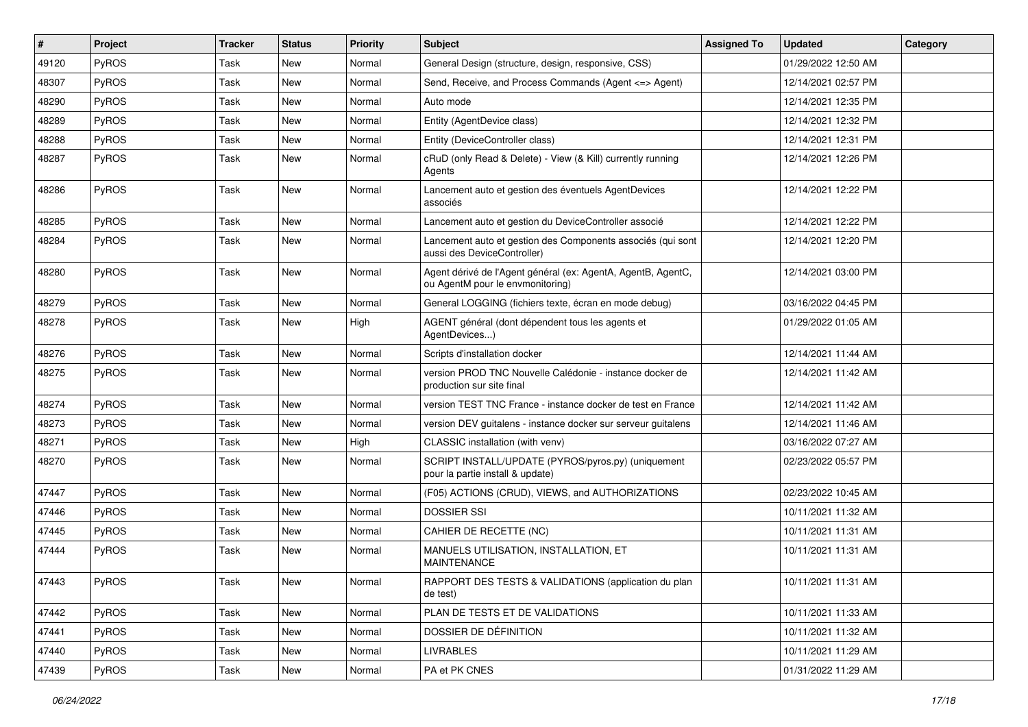| #     | Project      | <b>Tracker</b> | <b>Status</b> | <b>Priority</b> | <b>Subject</b>                                                                                   | <b>Assigned To</b> | <b>Updated</b>      | Category |
|-------|--------------|----------------|---------------|-----------------|--------------------------------------------------------------------------------------------------|--------------------|---------------------|----------|
| 49120 | <b>PyROS</b> | Task           | New           | Normal          | General Design (structure, design, responsive, CSS)                                              |                    | 01/29/2022 12:50 AM |          |
| 48307 | PyROS        | Task           | <b>New</b>    | Normal          | Send, Receive, and Process Commands (Agent <= > Agent)                                           |                    | 12/14/2021 02:57 PM |          |
| 48290 | PyROS        | Task           | New           | Normal          | Auto mode                                                                                        |                    | 12/14/2021 12:35 PM |          |
| 48289 | PyROS        | Task           | New           | Normal          | Entity (AgentDevice class)                                                                       |                    | 12/14/2021 12:32 PM |          |
| 48288 | PyROS        | Task           | <b>New</b>    | Normal          | Entity (DeviceController class)                                                                  |                    | 12/14/2021 12:31 PM |          |
| 48287 | PyROS        | Task           | <b>New</b>    | Normal          | cRuD (only Read & Delete) - View (& Kill) currently running<br>Agents                            |                    | 12/14/2021 12:26 PM |          |
| 48286 | PyROS        | Task           | New           | Normal          | Lancement auto et gestion des éventuels AgentDevices<br>associés                                 |                    | 12/14/2021 12:22 PM |          |
| 48285 | PyROS        | Task           | <b>New</b>    | Normal          | Lancement auto et gestion du DeviceController associé                                            |                    | 12/14/2021 12:22 PM |          |
| 48284 | PyROS        | Task           | <b>New</b>    | Normal          | Lancement auto et gestion des Components associés (qui sont<br>aussi des DeviceController)       |                    | 12/14/2021 12:20 PM |          |
| 48280 | PyROS        | Task           | <b>New</b>    | Normal          | Agent dérivé de l'Agent général (ex: AgentA, AgentB, AgentC,<br>ou AgentM pour le envmonitoring) |                    | 12/14/2021 03:00 PM |          |
| 48279 | PyROS        | Task           | <b>New</b>    | Normal          | General LOGGING (fichiers texte, écran en mode debug)                                            |                    | 03/16/2022 04:45 PM |          |
| 48278 | PyROS        | Task           | New           | High            | AGENT général (dont dépendent tous les agents et<br>AgentDevices)                                |                    | 01/29/2022 01:05 AM |          |
| 48276 | PyROS        | Task           | <b>New</b>    | Normal          | Scripts d'installation docker                                                                    |                    | 12/14/2021 11:44 AM |          |
| 48275 | <b>PyROS</b> | Task           | New           | Normal          | version PROD TNC Nouvelle Calédonie - instance docker de<br>production sur site final            |                    | 12/14/2021 11:42 AM |          |
| 48274 | PyROS        | Task           | <b>New</b>    | Normal          | version TEST TNC France - instance docker de test en France                                      |                    | 12/14/2021 11:42 AM |          |
| 48273 | <b>PyROS</b> | Task           | <b>New</b>    | Normal          | version DEV guitalens - instance docker sur serveur guitalens                                    |                    | 12/14/2021 11:46 AM |          |
| 48271 | PyROS        | Task           | New           | High            | CLASSIC installation (with venv)                                                                 |                    | 03/16/2022 07:27 AM |          |
| 48270 | PyROS        | Task           | New           | Normal          | SCRIPT INSTALL/UPDATE (PYROS/pyros.py) (uniquement<br>pour la partie install & update)           |                    | 02/23/2022 05:57 PM |          |
| 47447 | PyROS        | Task           | <b>New</b>    | Normal          | (F05) ACTIONS (CRUD), VIEWS, and AUTHORIZATIONS                                                  |                    | 02/23/2022 10:45 AM |          |
| 47446 | PyROS        | Task           | New           | Normal          | <b>DOSSIER SSI</b>                                                                               |                    | 10/11/2021 11:32 AM |          |
| 47445 | PyROS        | Task           | <b>New</b>    | Normal          | CAHIER DE RECETTE (NC)                                                                           |                    | 10/11/2021 11:31 AM |          |
| 47444 | PyROS        | Task           | New           | Normal          | MANUELS UTILISATION, INSTALLATION, ET<br><b>MAINTENANCE</b>                                      |                    | 10/11/2021 11:31 AM |          |
| 47443 | PyROS        | Task           | New           | Normal          | RAPPORT DES TESTS & VALIDATIONS (application du plan<br>de test)                                 |                    | 10/11/2021 11:31 AM |          |
| 47442 | PyROS        | Task           | New           | Normal          | PLAN DE TESTS ET DE VALIDATIONS                                                                  |                    | 10/11/2021 11:33 AM |          |
| 47441 | PyROS        | Task           | New           | Normal          | DOSSIER DE DÉFINITION                                                                            |                    | 10/11/2021 11:32 AM |          |
| 47440 | <b>PyROS</b> | Task           | New           | Normal          | <b>LIVRABLES</b>                                                                                 |                    | 10/11/2021 11:29 AM |          |
| 47439 | PyROS        | Task           | New           | Normal          | PA et PK CNES                                                                                    |                    | 01/31/2022 11:29 AM |          |